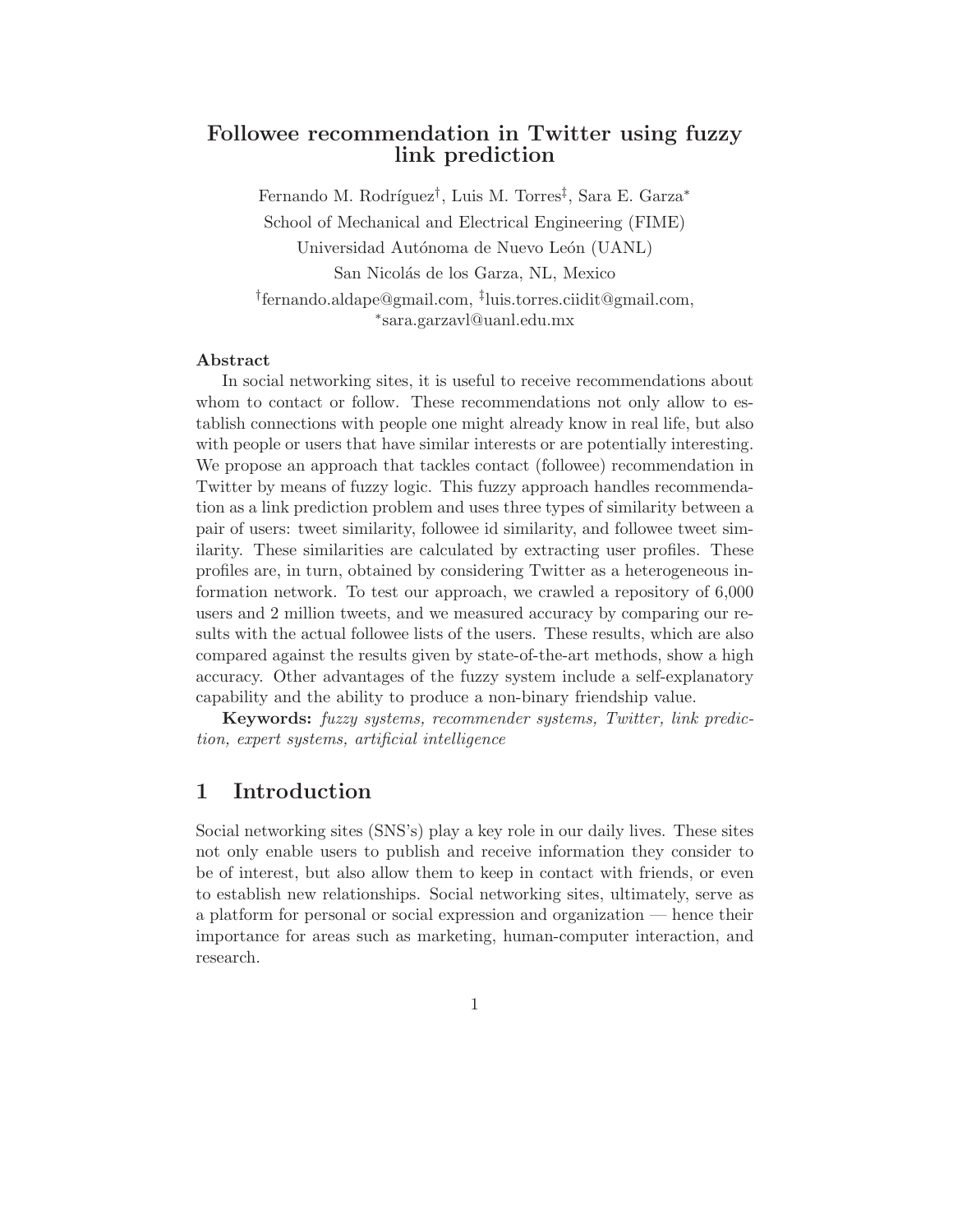# Followee recommendation in Twitter using fuzzy link prediction

Fernando M. Rodríguez<sup>†</sup>, Luis M. Torres<sup>‡</sup>, Sara E. Garza<sup>\*</sup> School of Mechanical and Electrical Engineering (FIME) Universidad Autónoma de Nuevo León (UANL) San Nicolás de los Garza, NL, Mexico † fernando.aldape@gmail.com, ‡ luis.torres.ciidit@gmail.com, ∗ sara.garzavl@uanl.edu.mx

### Abstract

In social networking sites, it is useful to receive recommendations about whom to contact or follow. These recommendations not only allow to establish connections with people one might already know in real life, but also with people or users that have similar interests or are potentially interesting. We propose an approach that tackles contact (followee) recommendation in Twitter by means of fuzzy logic. This fuzzy approach handles recommendation as a link prediction problem and uses three types of similarity between a pair of users: tweet similarity, followee id similarity, and followee tweet similarity. These similarities are calculated by extracting user profiles. These profiles are, in turn, obtained by considering Twitter as a heterogeneous information network. To test our approach, we crawled a repository of 6,000 users and 2 million tweets, and we measured accuracy by comparing our results with the actual followee lists of the users. These results, which are also compared against the results given by state-of-the-art methods, show a high accuracy. Other advantages of the fuzzy system include a self-explanatory capability and the ability to produce a non-binary friendship value.

Keywords: fuzzy systems, recommender systems, Twitter, link prediction, expert systems, artificial intelligence

# 1 Introduction

Social networking sites (SNS's) play a key role in our daily lives. These sites not only enable users to publish and receive information they consider to be of interest, but also allow them to keep in contact with friends, or even to establish new relationships. Social networking sites, ultimately, serve as a platform for personal or social expression and organization — hence their importance for areas such as marketing, human-computer interaction, and research.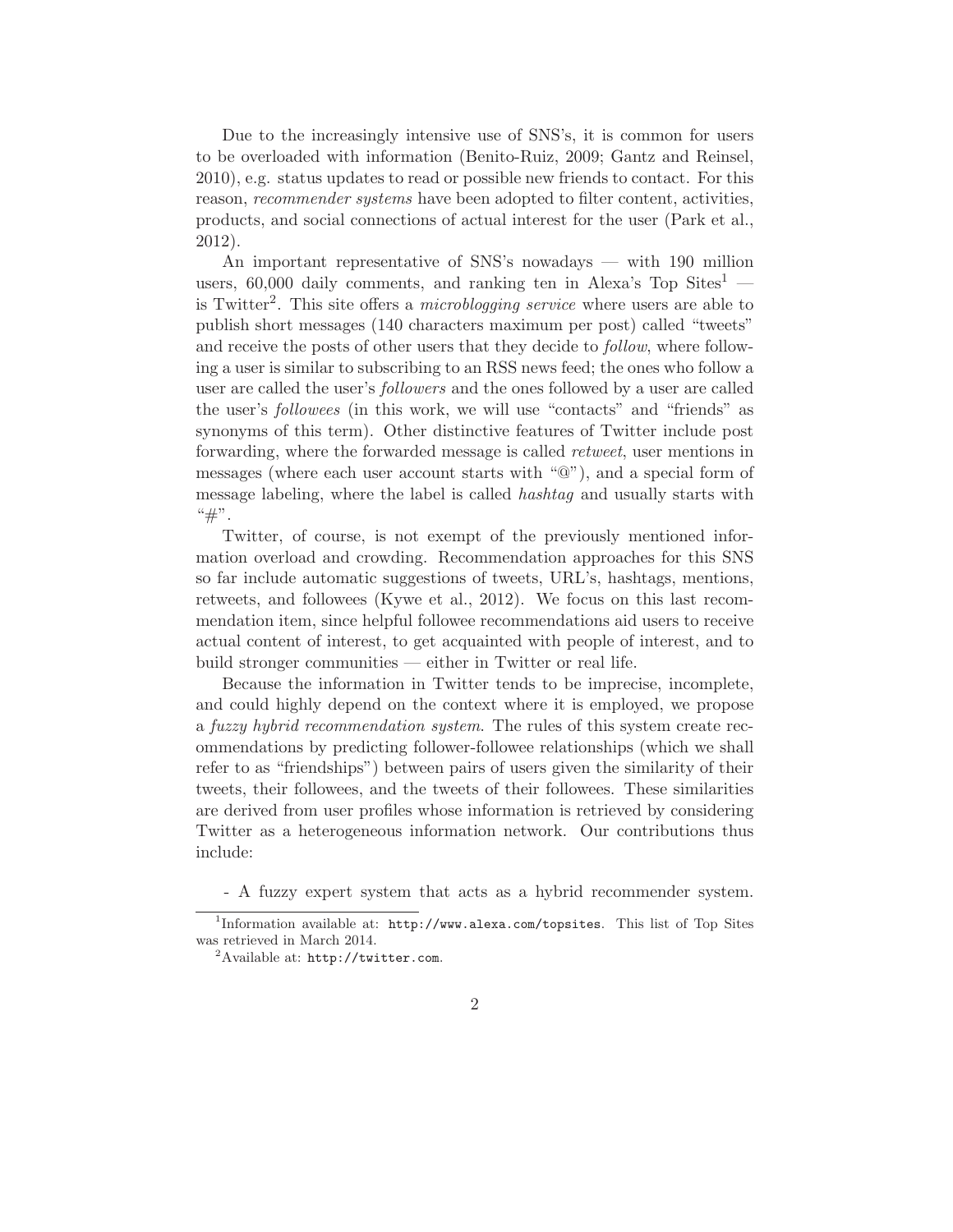Due to the increasingly intensive use of SNS's, it is common for users to be overloaded with information (Benito-Ruiz, 2009; Gantz and Reinsel, 2010), e.g. status updates to read or possible new friends to contact. For this reason, *recommender systems* have been adopted to filter content, activities, products, and social connections of actual interest for the user (Park et al., 2012).

An important representative of SNS's nowadays — with 190 million users, 60,000 daily comments, and ranking ten in Alexa's Top Sites<sup>1</sup> is Twitter<sup>2</sup>. This site offers a *microblogging service* where users are able to publish short messages (140 characters maximum per post) called "tweets" and receive the posts of other users that they decide to *follow*, where following a user is similar to subscribing to an RSS news feed; the ones who follow a user are called the user's followers and the ones followed by a user are called the user's followees (in this work, we will use "contacts" and "friends" as synonyms of this term). Other distinctive features of Twitter include post forwarding, where the forwarded message is called retweet, user mentions in messages (where each user account starts with "@"), and a special form of message labeling, where the label is called *hashtag* and usually starts with  $``#"$ .

Twitter, of course, is not exempt of the previously mentioned information overload and crowding. Recommendation approaches for this SNS so far include automatic suggestions of tweets, URL's, hashtags, mentions, retweets, and followees (Kywe et al., 2012). We focus on this last recommendation item, since helpful followee recommendations aid users to receive actual content of interest, to get acquainted with people of interest, and to build stronger communities — either in Twitter or real life.

Because the information in Twitter tends to be imprecise, incomplete, and could highly depend on the context where it is employed, we propose a fuzzy hybrid recommendation system. The rules of this system create recommendations by predicting follower-followee relationships (which we shall refer to as "friendships") between pairs of users given the similarity of their tweets, their followees, and the tweets of their followees. These similarities are derived from user profiles whose information is retrieved by considering Twitter as a heterogeneous information network. Our contributions thus include:

- A fuzzy expert system that acts as a hybrid recommender system.

<sup>&</sup>lt;sup>1</sup>Information available at: http://www.alexa.com/topsites. This list of Top Sites was retrieved in March 2014.

<sup>&</sup>lt;sup>2</sup>Available at: http://twitter.com.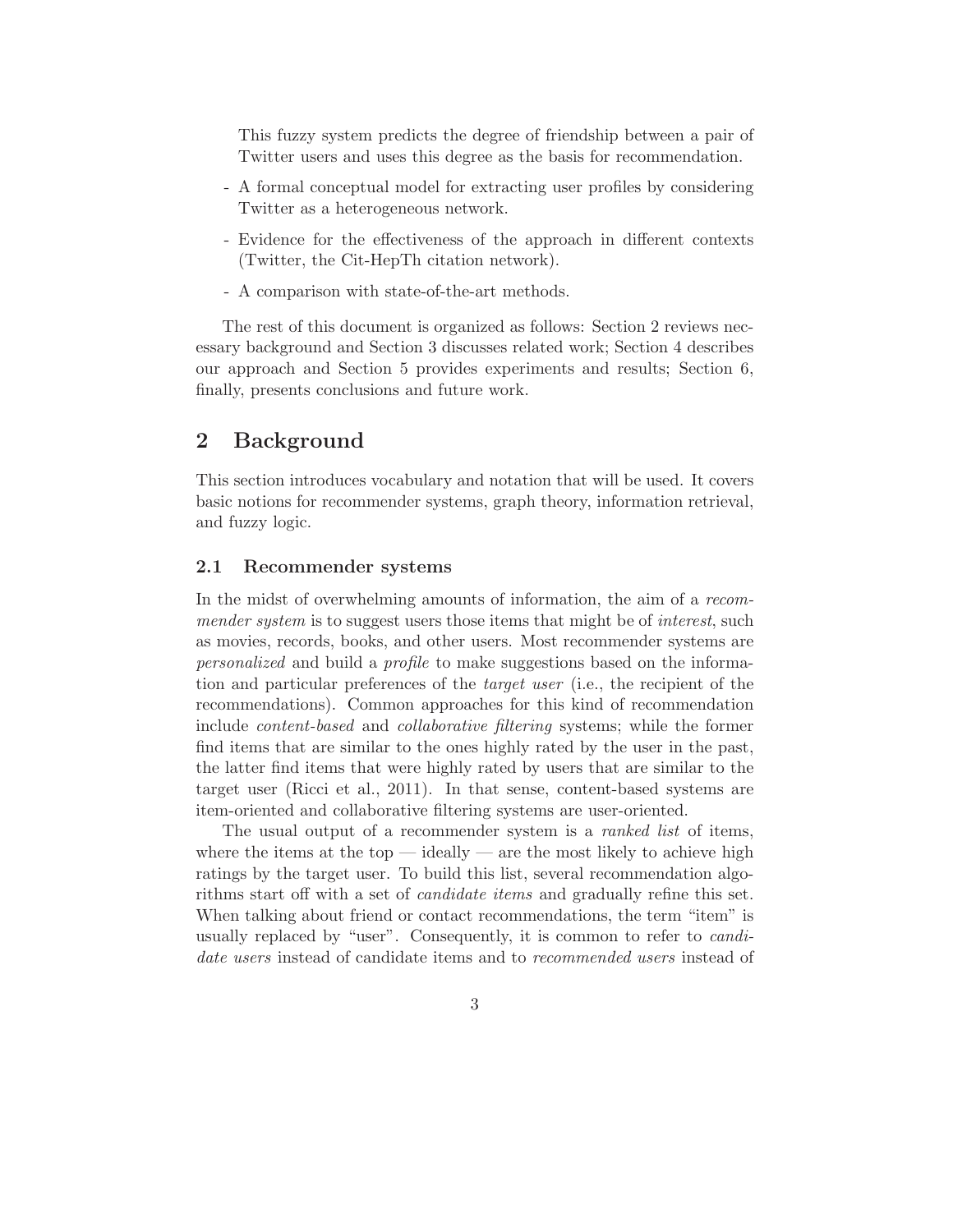This fuzzy system predicts the degree of friendship between a pair of Twitter users and uses this degree as the basis for recommendation.

- A formal conceptual model for extracting user profiles by considering Twitter as a heterogeneous network.
- Evidence for the effectiveness of the approach in different contexts (Twitter, the Cit-HepTh citation network).
- A comparison with state-of-the-art methods.

The rest of this document is organized as follows: Section 2 reviews necessary background and Section 3 discusses related work; Section 4 describes our approach and Section 5 provides experiments and results; Section 6, finally, presents conclusions and future work.

# 2 Background

This section introduces vocabulary and notation that will be used. It covers basic notions for recommender systems, graph theory, information retrieval, and fuzzy logic.

## 2.1 Recommender systems

In the midst of overwhelming amounts of information, the aim of a recommender system is to suggest users those items that might be of *interest*, such as movies, records, books, and other users. Most recommender systems are personalized and build a profile to make suggestions based on the information and particular preferences of the target user (i.e., the recipient of the recommendations). Common approaches for this kind of recommendation include content-based and collaborative filtering systems; while the former find items that are similar to the ones highly rated by the user in the past, the latter find items that were highly rated by users that are similar to the target user (Ricci et al., 2011). In that sense, content-based systems are item-oriented and collaborative filtering systems are user-oriented.

The usual output of a recommender system is a *ranked list* of items, where the items at the top — ideally — are the most likely to achieve high ratings by the target user. To build this list, several recommendation algorithms start off with a set of candidate items and gradually refine this set. When talking about friend or contact recommendations, the term "item" is usually replaced by "user". Consequently, it is common to refer to *candi*date users instead of candidate items and to *recommended users* instead of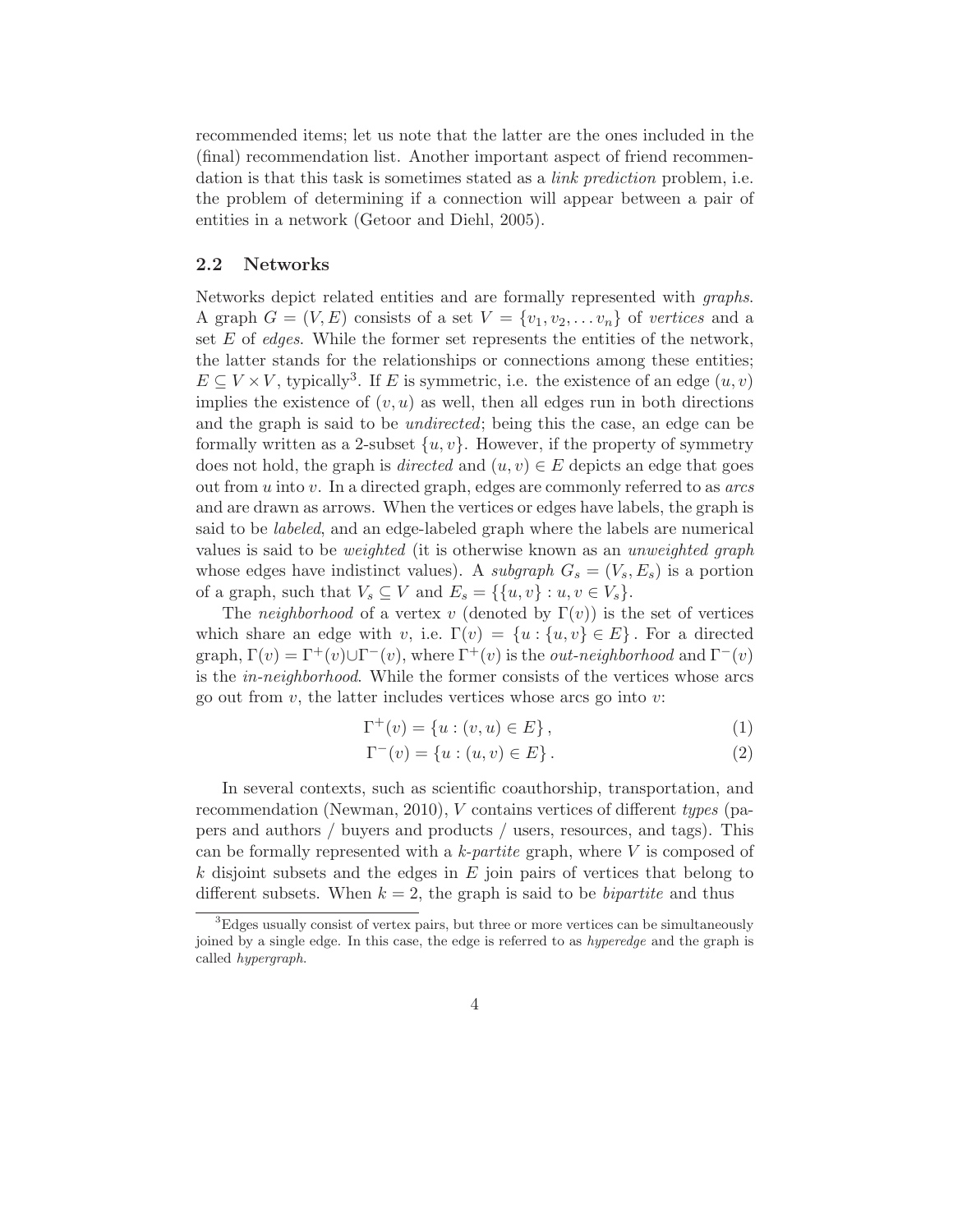recommended items; let us note that the latter are the ones included in the (final) recommendation list. Another important aspect of friend recommendation is that this task is sometimes stated as a *link prediction* problem, i.e. the problem of determining if a connection will appear between a pair of entities in a network (Getoor and Diehl, 2005).

### 2.2 Networks

Networks depict related entities and are formally represented with graphs. A graph  $G = (V, E)$  consists of a set  $V = \{v_1, v_2, \dots v_n\}$  of vertices and a set  $E$  of *edges*. While the former set represents the entities of the network, the latter stands for the relationships or connections among these entities;  $E \subseteq V \times V$ , typically<sup>3</sup>. If E is symmetric, i.e. the existence of an edge  $(u, v)$ implies the existence of  $(v, u)$  as well, then all edges run in both directions and the graph is said to be undirected; being this the case, an edge can be formally written as a 2-subset  $\{u, v\}$ . However, if the property of symmetry does not hold, the graph is *directed* and  $(u, v) \in E$  depicts an edge that goes out from u into v. In a directed graph, edges are commonly referred to as arcs and are drawn as arrows. When the vertices or edges have labels, the graph is said to be labeled, and an edge-labeled graph where the labels are numerical values is said to be weighted (it is otherwise known as an unweighted graph whose edges have indistinct values). A *subgraph*  $G_s = (V_s, E_s)$  is a portion of a graph, such that  $V_s \subseteq V$  and  $E_s = \{\{u, v\} : u, v \in V_s\}.$ 

The neighborhood of a vertex v (denoted by  $\Gamma(v)$ ) is the set of vertices which share an edge with v, i.e.  $\Gamma(v) = \{u : \{u, v\} \in E\}$ . For a directed graph,  $\Gamma(v) = \Gamma^+(v) \cup \Gamma^-(v)$ , where  $\Gamma^+(v)$  is the *out-neighborhood* and  $\Gamma^-(v)$ is the in-neighborhood. While the former consists of the vertices whose arcs go out from  $v$ , the latter includes vertices whose arcs go into  $v$ :

$$
\Gamma^{+}(v) = \{ u : (v, u) \in E \}, \tag{1}
$$

$$
\Gamma^{-}(v) = \{ u : (u, v) \in E \}.
$$
\n(2)

In several contexts, such as scientific coauthorship, transportation, and recommendation (Newman, 2010), V contains vertices of different types (papers and authors / buyers and products / users, resources, and tags). This can be formally represented with a  $k$ -partite graph, where  $V$  is composed of  $k$  disjoint subsets and the edges in  $E$  join pairs of vertices that belong to different subsets. When  $k = 2$ , the graph is said to be *bipartite* and thus

<sup>3</sup>Edges usually consist of vertex pairs, but three or more vertices can be simultaneously joined by a single edge. In this case, the edge is referred to as hyperedge and the graph is called hypergraph.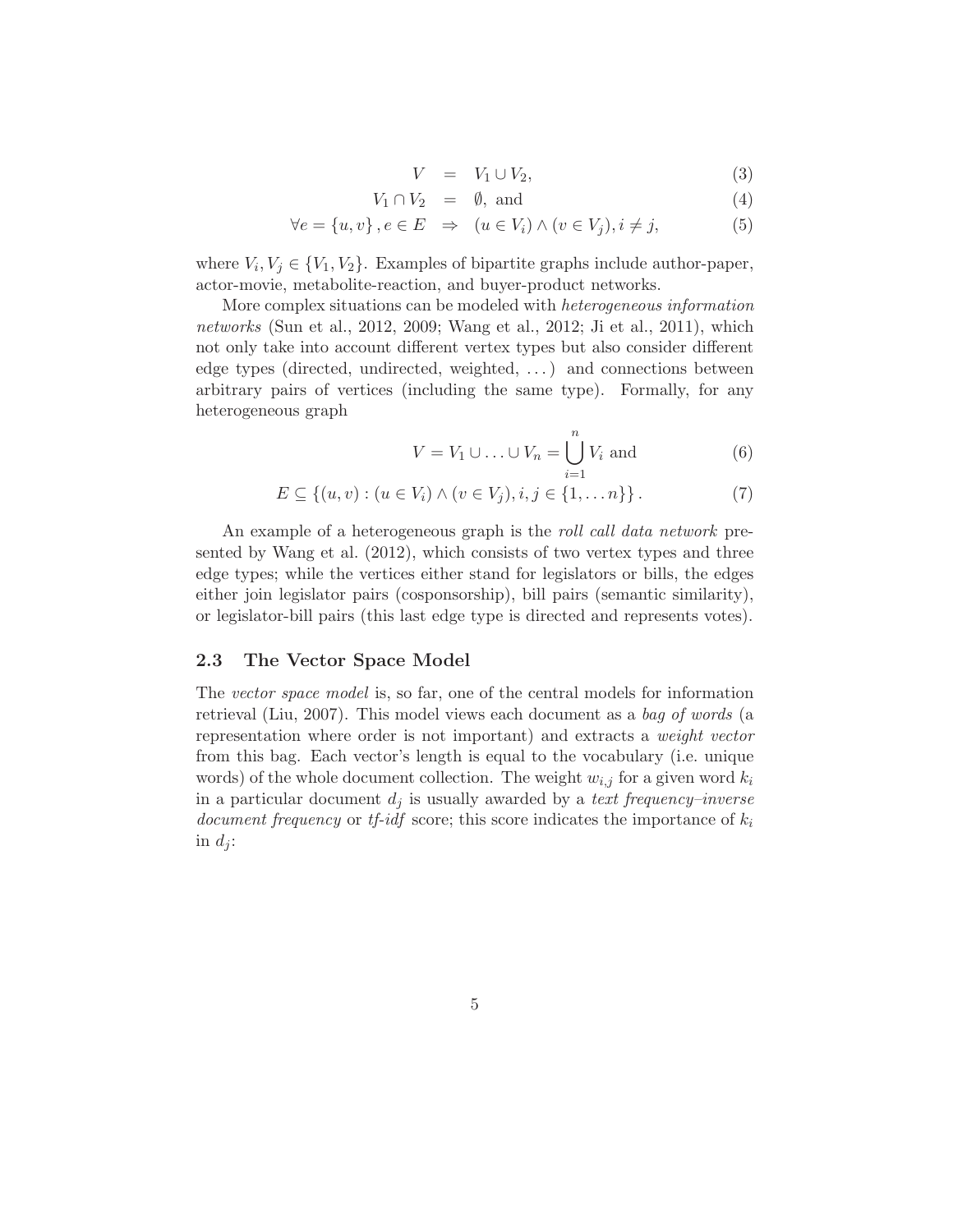$$
V = V_1 \cup V_2,\tag{3}
$$

$$
V_1 \cap V_2 = \emptyset, \text{ and } \tag{4}
$$

$$
\forall e = \{u, v\}, e \in E \Rightarrow (u \in V_i) \land (v \in V_j), i \neq j,
$$
\n
$$
(5)
$$

where  $V_i, V_j \in \{V_1, V_2\}$ . Examples of bipartite graphs include author-paper, actor-movie, metabolite-reaction, and buyer-product networks.

More complex situations can be modeled with heterogeneous information networks (Sun et al., 2012, 2009; Wang et al., 2012; Ji et al., 2011), which not only take into account different vertex types but also consider different edge types (directed, undirected, weighted, . . . ) and connections between arbitrary pairs of vertices (including the same type). Formally, for any heterogeneous graph

$$
V = V_1 \cup \ldots \cup V_n = \bigcup_{i=1}^n V_i \text{ and } (6)
$$

$$
E \subseteq \{(u, v) : (u \in V_i) \land (v \in V_j), i, j \in \{1, \dots n\}\}.
$$
\n(7)

An example of a heterogeneous graph is the *roll call data network* presented by Wang et al. (2012), which consists of two vertex types and three edge types; while the vertices either stand for legislators or bills, the edges either join legislator pairs (cosponsorship), bill pairs (semantic similarity), or legislator-bill pairs (this last edge type is directed and represents votes).

# 2.3 The Vector Space Model

The vector space model is, so far, one of the central models for information retrieval (Liu, 2007). This model views each document as a bag of words (a representation where order is not important) and extracts a weight vector from this bag. Each vector's length is equal to the vocabulary (i.e. unique words) of the whole document collection. The weight  $w_{i,j}$  for a given word  $k_i$ in a particular document  $d_j$  is usually awarded by a text frequency–inverse document frequency or the id score; this score indicates the importance of  $k_i$ in  $d_i$ :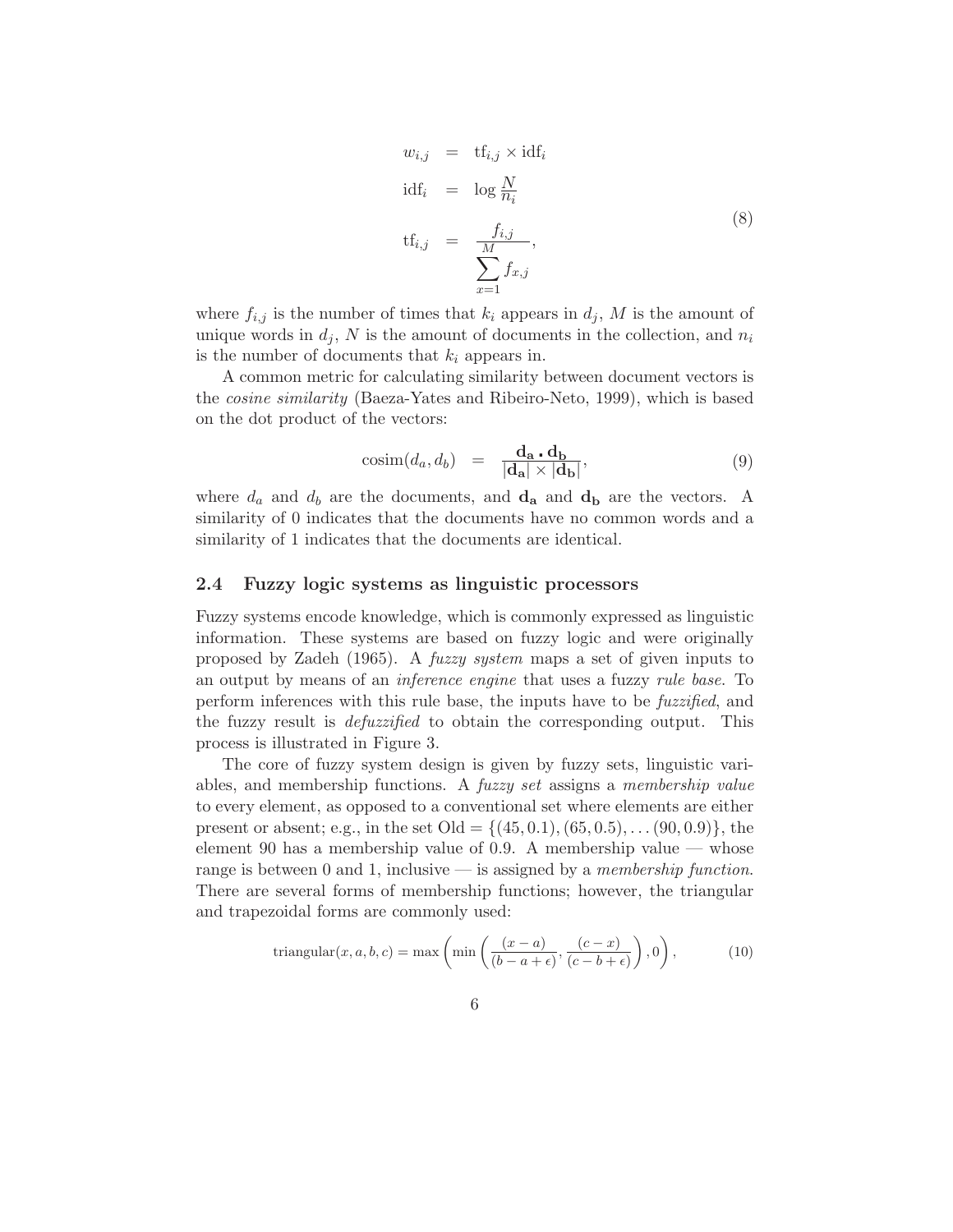$$
w_{i,j} = tf_{i,j} \times idf_i
$$
  
\n
$$
idf_i = log \frac{N}{n_i}
$$
  
\n
$$
tf_{i,j} = \frac{f_{i,j}}{M}
$$
  
\n
$$
\sum_{x=1}^{M} f_{x,j}
$$
\n(8)

where  $f_{i,j}$  is the number of times that  $k_i$  appears in  $d_j$ , M is the amount of unique words in  $d_j$ , N is the amount of documents in the collection, and  $n_i$ is the number of documents that  $k_i$  appears in.

A common metric for calculating similarity between document vectors is the cosine similarity (Baeza-Yates and Ribeiro-Neto, 1999), which is based on the dot product of the vectors:

$$
cosim(d_a, d_b) = \frac{d_a \cdot d_b}{|d_a| \times |d_b|}, \qquad (9)
$$

where  $d_a$  and  $d_b$  are the documents, and  $d_a$  and  $d_b$  are the vectors. A similarity of 0 indicates that the documents have no common words and a similarity of 1 indicates that the documents are identical.

### 2.4 Fuzzy logic systems as linguistic processors

Fuzzy systems encode knowledge, which is commonly expressed as linguistic information. These systems are based on fuzzy logic and were originally proposed by Zadeh (1965). A fuzzy system maps a set of given inputs to an output by means of an inference engine that uses a fuzzy rule base. To perform inferences with this rule base, the inputs have to be fuzzified, and the fuzzy result is *defuzzified* to obtain the corresponding output. This process is illustrated in Figure 3.

The core of fuzzy system design is given by fuzzy sets, linguistic variables, and membership functions. A fuzzy set assigns a membership value to every element, as opposed to a conventional set where elements are either present or absent; e.g., in the set  $Old = \{(45, 0.1), (65, 0.5), \ldots (90, 0.9)\}\,$ , the element 90 has a membership value of 0.9. A membership value — whose range is between 0 and 1, inclusive — is assigned by a *membership function*. There are several forms of membership functions; however, the triangular and trapezoidal forms are commonly used:

triangular
$$
(x, a, b, c)
$$
 = max $\left(\min\left(\frac{(x-a)}{(b-a+\epsilon)}, \frac{(c-x)}{(c-b+\epsilon)}\right), 0\right),$  (10)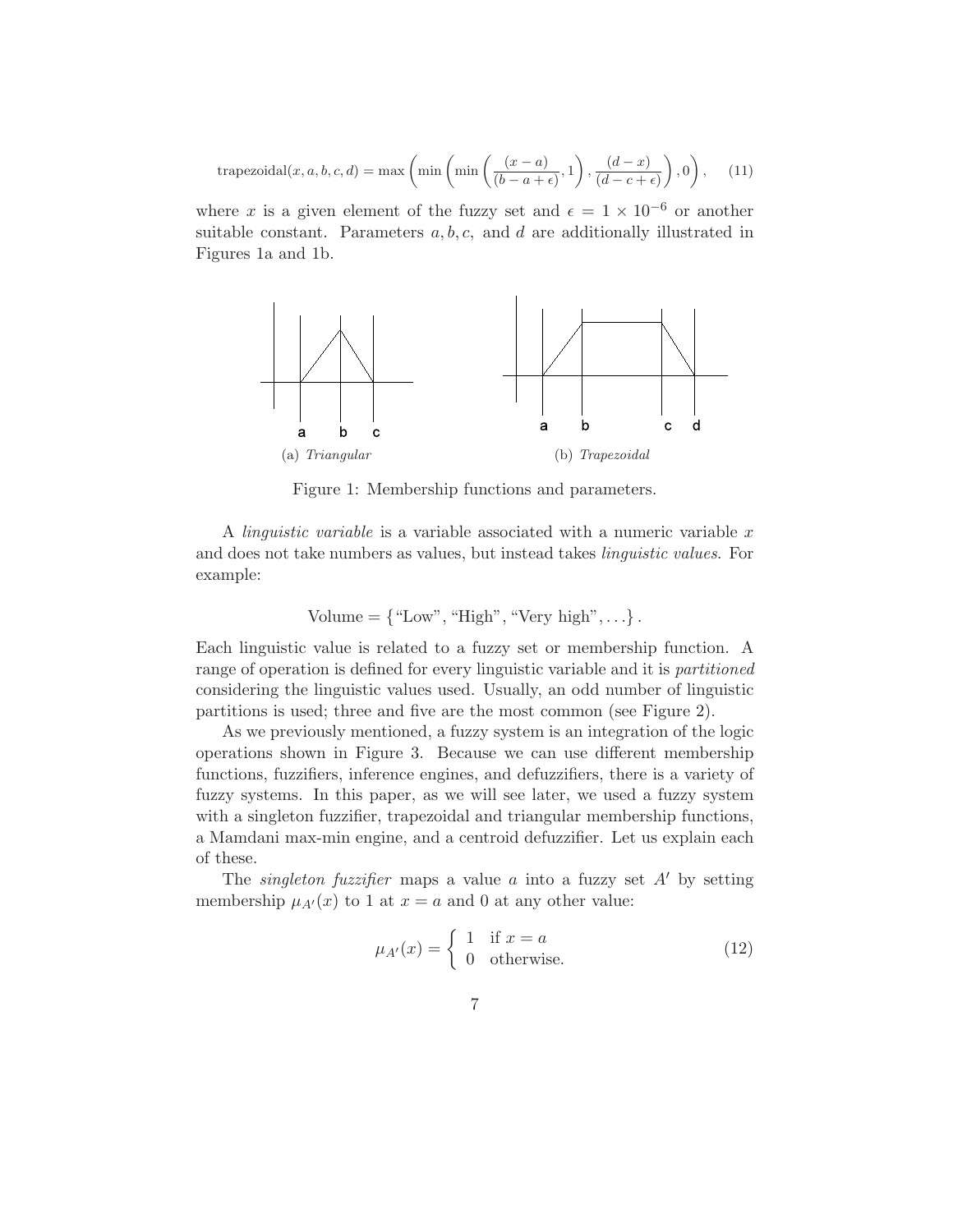trapezoidal
$$
(x, a, b, c, d) = \max \left( \min \left( \frac{(x-a)}{(b-a+\epsilon)}, 1 \right), \frac{(d-x)}{(d-c+\epsilon)} \right), 0 \right), \quad (11)
$$

where x is a given element of the fuzzy set and  $\epsilon = 1 \times 10^{-6}$  or another suitable constant. Parameters  $a, b, c$ , and  $d$  are additionally illustrated in Figures 1a and 1b.



Figure 1: Membership functions and parameters.

A *linguistic variable* is a variable associated with a numeric variable x and does not take numbers as values, but instead takes linguistic values. For example:

Volume = 
$$
\{``Low", "High", "Very high", ...}\}.
$$

Each linguistic value is related to a fuzzy set or membership function. A range of operation is defined for every linguistic variable and it is partitioned considering the linguistic values used. Usually, an odd number of linguistic partitions is used; three and five are the most common (see Figure 2).

As we previously mentioned, a fuzzy system is an integration of the logic operations shown in Figure 3. Because we can use different membership functions, fuzzifiers, inference engines, and defuzzifiers, there is a variety of fuzzy systems. In this paper, as we will see later, we used a fuzzy system with a singleton fuzzifier, trapezoidal and triangular membership functions, a Mamdani max-min engine, and a centroid defuzzifier. Let us explain each of these.

The *singleton fuzzifier* maps a value  $\alpha$  into a fuzzy set  $A'$  by setting membership  $\mu_{A'}(x)$  to 1 at  $x = a$  and 0 at any other value:

$$
\mu_{A'}(x) = \begin{cases} 1 & \text{if } x = a \\ 0 & \text{otherwise.} \end{cases}
$$
 (12)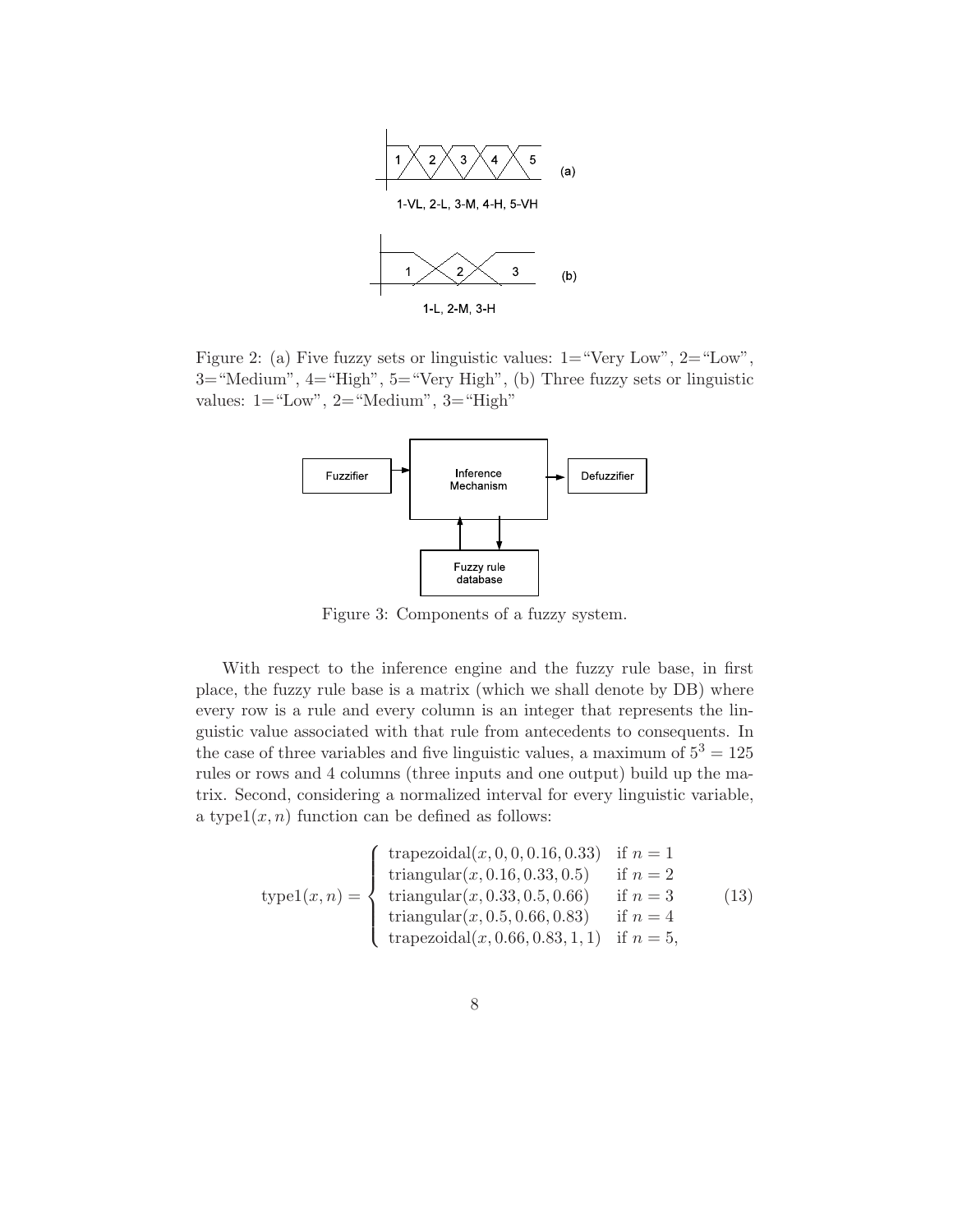

Figure 2: (a) Five fuzzy sets or linguistic values:  $1 = "Very Low", 2 = "Low",$ 3="Medium", 4="High", 5="Very High", (b) Three fuzzy sets or linguistic values:  $1 = "Low", 2 = "Median", 3 = "High"$ 



Figure 3: Components of a fuzzy system.

With respect to the inference engine and the fuzzy rule base, in first place, the fuzzy rule base is a matrix (which we shall denote by DB) where every row is a rule and every column is an integer that represents the linguistic value associated with that rule from antecedents to consequents. In the case of three variables and five linguistic values, a maximum of  $5^3 = 125$ rules or rows and 4 columns (three inputs and one output) build up the matrix. Second, considering a normalized interval for every linguistic variable, a type $1(x, n)$  function can be defined as follows:

$$
type1(x, n) = \begin{cases} \text{trapezoidal}(x, 0, 0, 0.16, 0.33) & \text{if } n = 1\\ \text{triangular}(x, 0.16, 0.33, 0.5) & \text{if } n = 2\\ \text{triangular}(x, 0.33, 0.5, 0.66) & \text{if } n = 3\\ \text{triangular}(x, 0.5, 0.66, 0.83) & \text{if } n = 4\\ \text{trapezoidal}(x, 0.66, 0.83, 1, 1) & \text{if } n = 5, \end{cases}
$$
(13)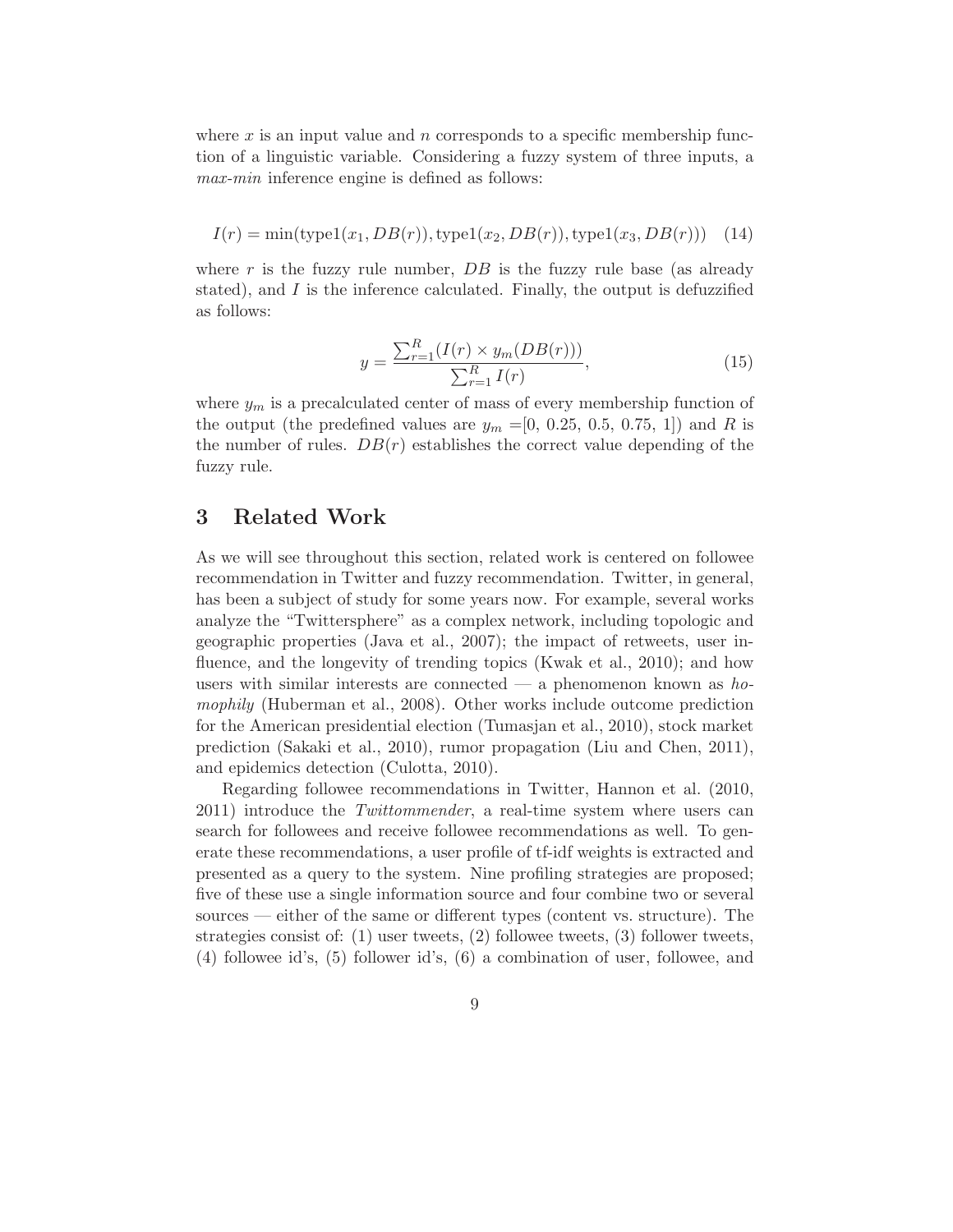where  $x$  is an input value and  $n$  corresponds to a specific membership function of a linguistic variable. Considering a fuzzy system of three inputs, a max-min inference engine is defined as follows:

$$
I(r) = \min(\text{type1}(x_1, DB(r)), \text{type1}(x_2, DB(r)), \text{type1}(x_3, DB(r))) \quad (14)
$$

where r is the fuzzy rule number,  $DB$  is the fuzzy rule base (as already stated), and  $I$  is the inference calculated. Finally, the output is defuzzified as follows:

$$
y = \frac{\sum_{r=1}^{R} (I(r) \times y_m(DB(r)))}{\sum_{r=1}^{R} I(r)},
$$
\n(15)

where  $y_m$  is a precalculated center of mass of every membership function of the output (the predefined values are  $y_m = [0, 0.25, 0.5, 0.75, 1]$ ) and R is the number of rules.  $DB(r)$  establishes the correct value depending of the fuzzy rule.

# 3 Related Work

As we will see throughout this section, related work is centered on followee recommendation in Twitter and fuzzy recommendation. Twitter, in general, has been a subject of study for some years now. For example, several works analyze the "Twittersphere" as a complex network, including topologic and geographic properties (Java et al., 2007); the impact of retweets, user influence, and the longevity of trending topics (Kwak et al., 2010); and how users with similar interests are connected — a phenomenon known as  $ho$ mophily (Huberman et al., 2008). Other works include outcome prediction for the American presidential election (Tumasjan et al., 2010), stock market prediction (Sakaki et al., 2010), rumor propagation (Liu and Chen, 2011), and epidemics detection (Culotta, 2010).

Regarding followee recommendations in Twitter, Hannon et al. (2010, 2011) introduce the *Twittommender*, a real-time system where users can search for followees and receive followee recommendations as well. To generate these recommendations, a user profile of tf-idf weights is extracted and presented as a query to the system. Nine profiling strategies are proposed; five of these use a single information source and four combine two or several sources — either of the same or different types (content vs. structure). The strategies consist of: (1) user tweets, (2) followee tweets, (3) follower tweets, (4) followee id's, (5) follower id's, (6) a combination of user, followee, and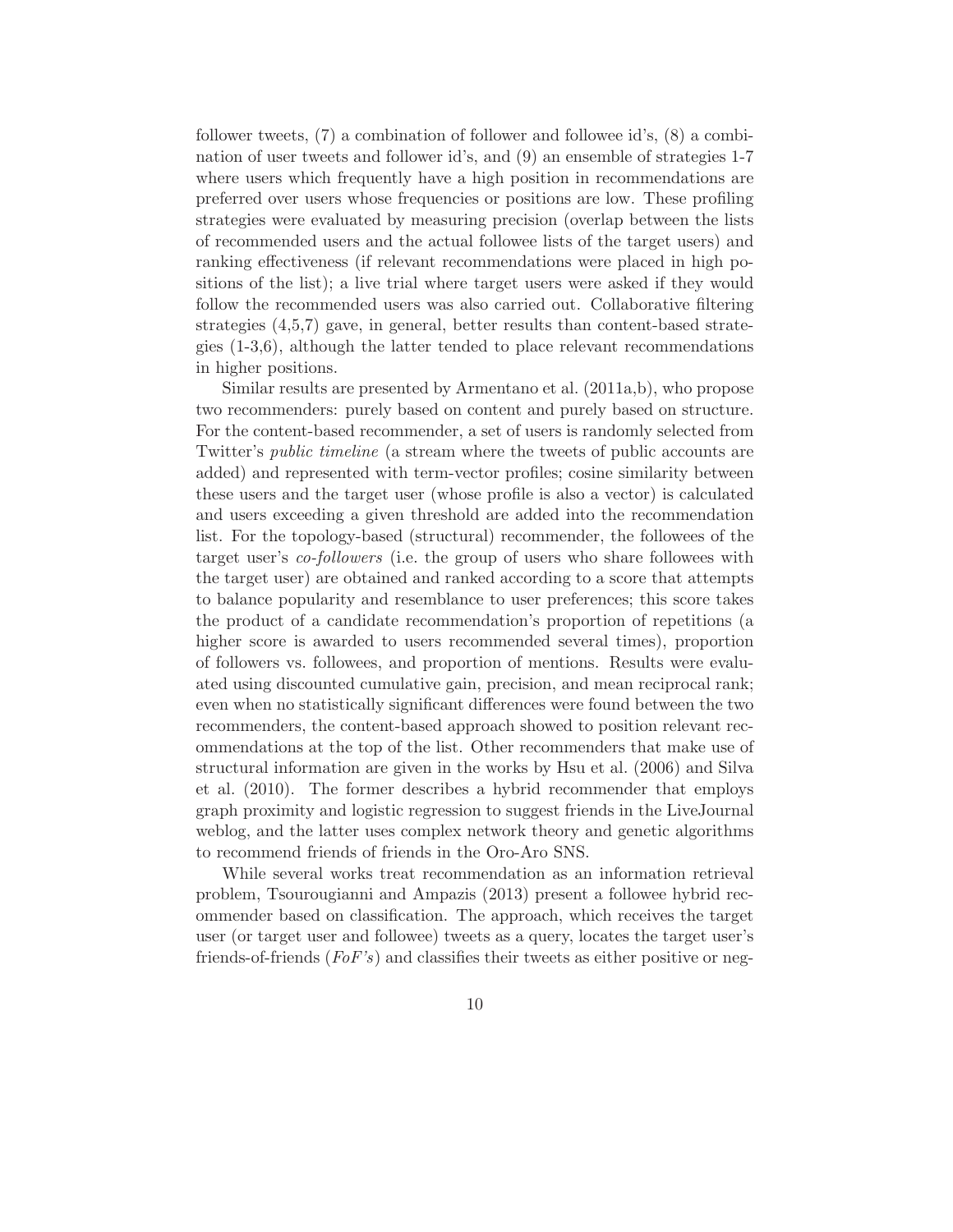follower tweets, (7) a combination of follower and followee id's, (8) a combination of user tweets and follower id's, and (9) an ensemble of strategies 1-7 where users which frequently have a high position in recommendations are preferred over users whose frequencies or positions are low. These profiling strategies were evaluated by measuring precision (overlap between the lists of recommended users and the actual followee lists of the target users) and ranking effectiveness (if relevant recommendations were placed in high positions of the list); a live trial where target users were asked if they would follow the recommended users was also carried out. Collaborative filtering strategies (4,5,7) gave, in general, better results than content-based strategies (1-3,6), although the latter tended to place relevant recommendations in higher positions.

Similar results are presented by Armentano et al. (2011a,b), who propose two recommenders: purely based on content and purely based on structure. For the content-based recommender, a set of users is randomly selected from Twitter's public timeline (a stream where the tweets of public accounts are added) and represented with term-vector profiles; cosine similarity between these users and the target user (whose profile is also a vector) is calculated and users exceeding a given threshold are added into the recommendation list. For the topology-based (structural) recommender, the followees of the target user's co-followers (i.e. the group of users who share followees with the target user) are obtained and ranked according to a score that attempts to balance popularity and resemblance to user preferences; this score takes the product of a candidate recommendation's proportion of repetitions (a higher score is awarded to users recommended several times), proportion of followers vs. followees, and proportion of mentions. Results were evaluated using discounted cumulative gain, precision, and mean reciprocal rank; even when no statistically significant differences were found between the two recommenders, the content-based approach showed to position relevant recommendations at the top of the list. Other recommenders that make use of structural information are given in the works by Hsu et al. (2006) and Silva et al. (2010). The former describes a hybrid recommender that employs graph proximity and logistic regression to suggest friends in the LiveJournal weblog, and the latter uses complex network theory and genetic algorithms to recommend friends of friends in the Oro-Aro SNS.

While several works treat recommendation as an information retrieval problem, Tsourougianni and Ampazis (2013) present a followee hybrid recommender based on classification. The approach, which receives the target user (or target user and followee) tweets as a query, locates the target user's friends-of-friends  $(FoF's)$  and classifies their tweets as either positive or neg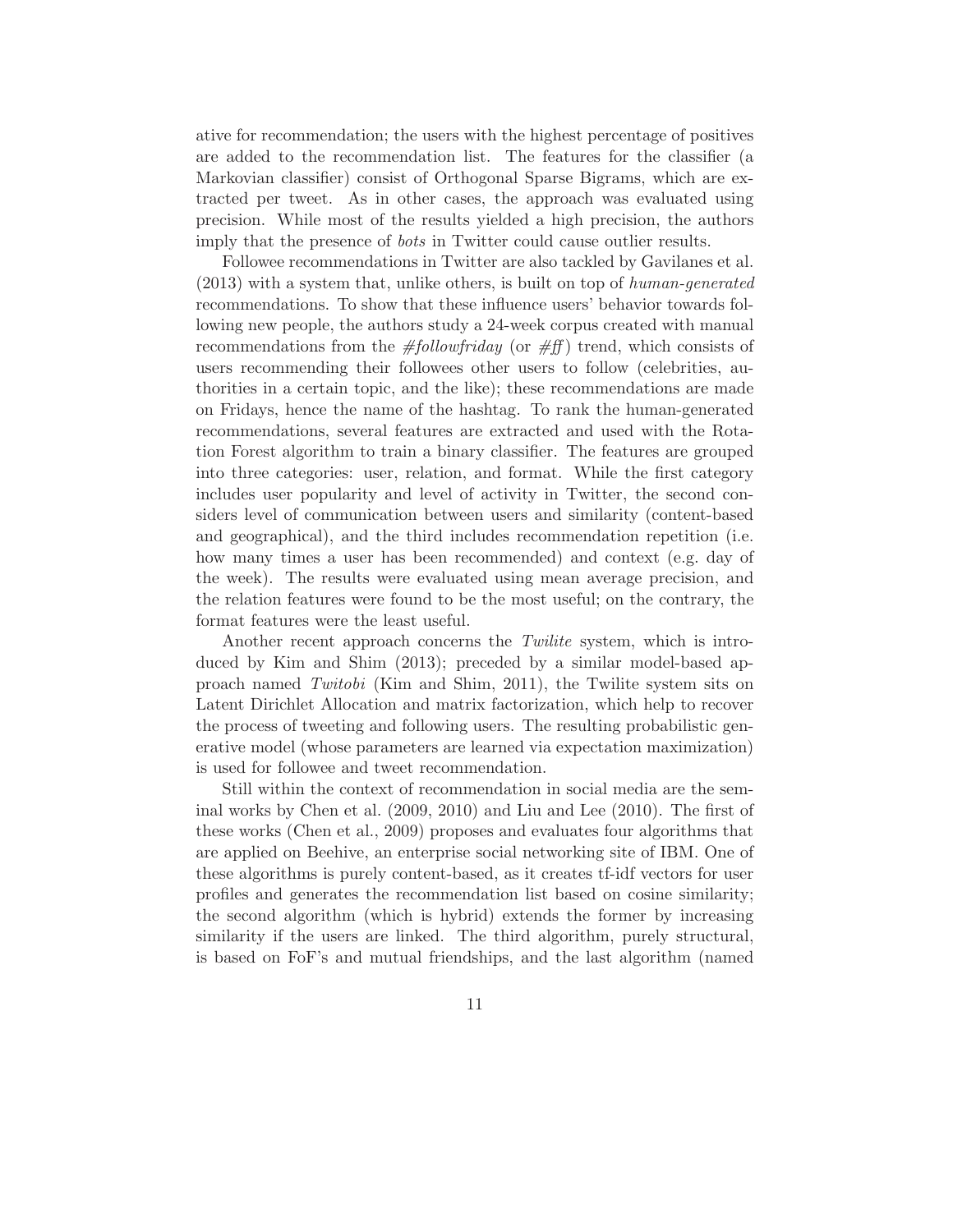ative for recommendation; the users with the highest percentage of positives are added to the recommendation list. The features for the classifier (a Markovian classifier) consist of Orthogonal Sparse Bigrams, which are extracted per tweet. As in other cases, the approach was evaluated using precision. While most of the results yielded a high precision, the authors imply that the presence of *bots* in Twitter could cause outlier results.

Followee recommendations in Twitter are also tackled by Gavilanes et al. (2013) with a system that, unlike others, is built on top of human-generated recommendations. To show that these influence users' behavior towards following new people, the authors study a 24-week corpus created with manual recommendations from the  $#followfriday$  (or  $#ff$ ) trend, which consists of users recommending their followees other users to follow (celebrities, authorities in a certain topic, and the like); these recommendations are made on Fridays, hence the name of the hashtag. To rank the human-generated recommendations, several features are extracted and used with the Rotation Forest algorithm to train a binary classifier. The features are grouped into three categories: user, relation, and format. While the first category includes user popularity and level of activity in Twitter, the second considers level of communication between users and similarity (content-based and geographical), and the third includes recommendation repetition (i.e. how many times a user has been recommended) and context (e.g. day of the week). The results were evaluated using mean average precision, and the relation features were found to be the most useful; on the contrary, the format features were the least useful.

Another recent approach concerns the Twilite system, which is introduced by Kim and Shim (2013); preceded by a similar model-based approach named Twitobi (Kim and Shim, 2011), the Twilite system sits on Latent Dirichlet Allocation and matrix factorization, which help to recover the process of tweeting and following users. The resulting probabilistic generative model (whose parameters are learned via expectation maximization) is used for followee and tweet recommendation.

Still within the context of recommendation in social media are the seminal works by Chen et al. (2009, 2010) and Liu and Lee (2010). The first of these works (Chen et al., 2009) proposes and evaluates four algorithms that are applied on Beehive, an enterprise social networking site of IBM. One of these algorithms is purely content-based, as it creates tf-idf vectors for user profiles and generates the recommendation list based on cosine similarity; the second algorithm (which is hybrid) extends the former by increasing similarity if the users are linked. The third algorithm, purely structural, is based on FoF's and mutual friendships, and the last algorithm (named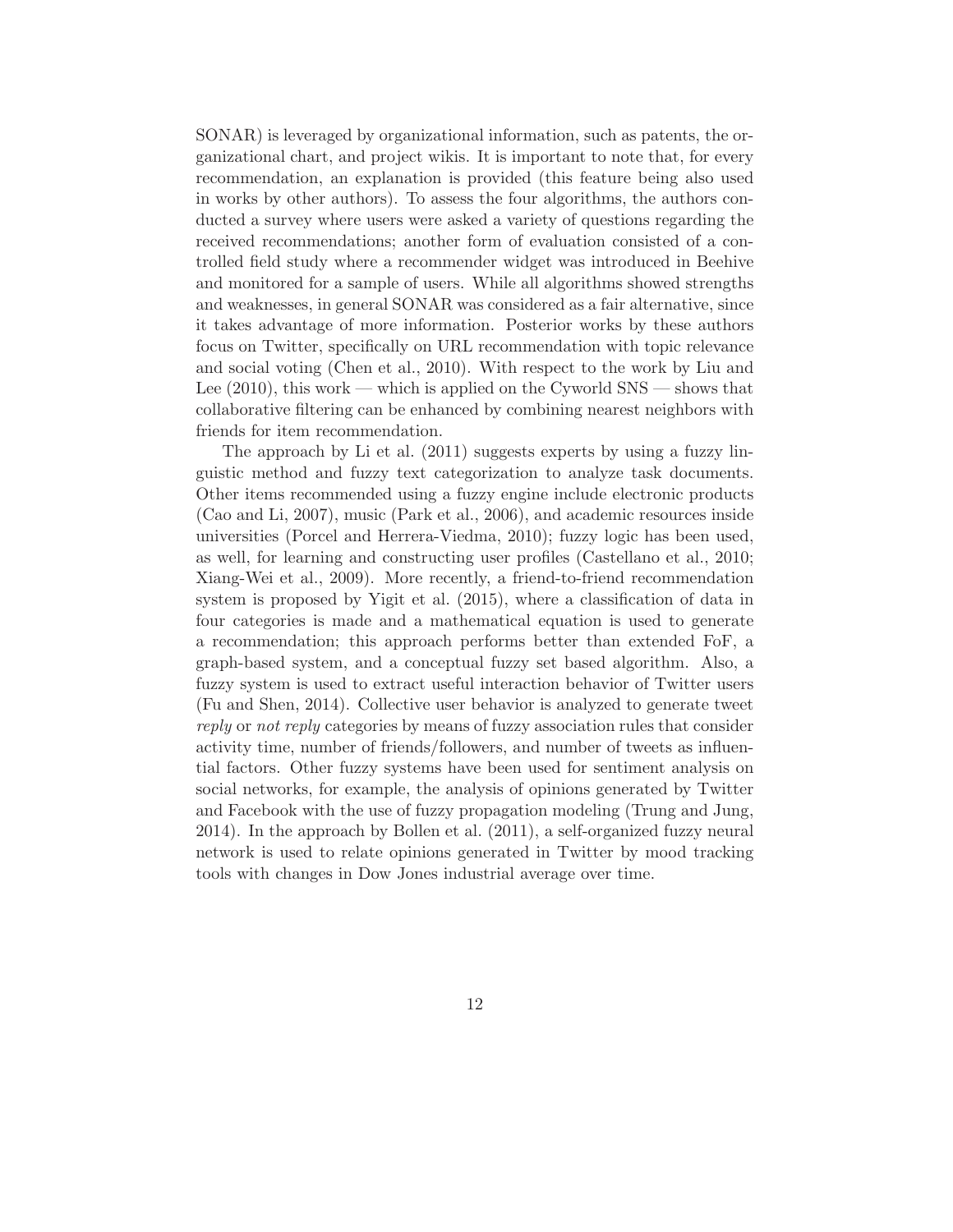SONAR) is leveraged by organizational information, such as patents, the organizational chart, and project wikis. It is important to note that, for every recommendation, an explanation is provided (this feature being also used in works by other authors). To assess the four algorithms, the authors conducted a survey where users were asked a variety of questions regarding the received recommendations; another form of evaluation consisted of a controlled field study where a recommender widget was introduced in Beehive and monitored for a sample of users. While all algorithms showed strengths and weaknesses, in general SONAR was considered as a fair alternative, since it takes advantage of more information. Posterior works by these authors focus on Twitter, specifically on URL recommendation with topic relevance and social voting (Chen et al., 2010). With respect to the work by Liu and Lee  $(2010)$ , this work — which is applied on the Cyworld SNS — shows that collaborative filtering can be enhanced by combining nearest neighbors with friends for item recommendation.

The approach by Li et al. (2011) suggests experts by using a fuzzy linguistic method and fuzzy text categorization to analyze task documents. Other items recommended using a fuzzy engine include electronic products (Cao and Li, 2007), music (Park et al., 2006), and academic resources inside universities (Porcel and Herrera-Viedma, 2010); fuzzy logic has been used, as well, for learning and constructing user profiles (Castellano et al., 2010; Xiang-Wei et al., 2009). More recently, a friend-to-friend recommendation system is proposed by Yigit et al. (2015), where a classification of data in four categories is made and a mathematical equation is used to generate a recommendation; this approach performs better than extended FoF, a graph-based system, and a conceptual fuzzy set based algorithm. Also, a fuzzy system is used to extract useful interaction behavior of Twitter users (Fu and Shen, 2014). Collective user behavior is analyzed to generate tweet reply or not reply categories by means of fuzzy association rules that consider activity time, number of friends/followers, and number of tweets as influential factors. Other fuzzy systems have been used for sentiment analysis on social networks, for example, the analysis of opinions generated by Twitter and Facebook with the use of fuzzy propagation modeling (Trung and Jung, 2014). In the approach by Bollen et al. (2011), a self-organized fuzzy neural network is used to relate opinions generated in Twitter by mood tracking tools with changes in Dow Jones industrial average over time.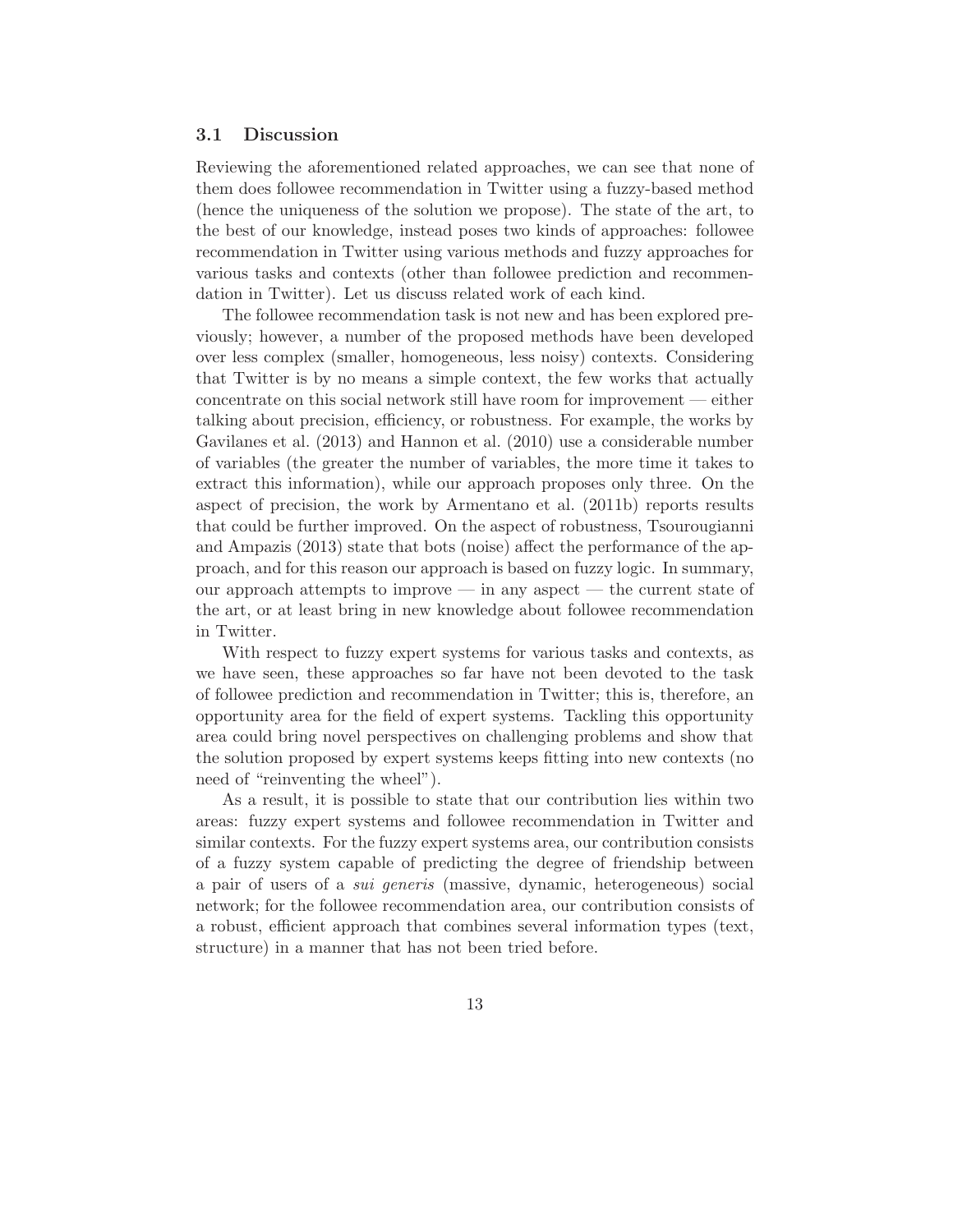#### 3.1 Discussion

Reviewing the aforementioned related approaches, we can see that none of them does followee recommendation in Twitter using a fuzzy-based method (hence the uniqueness of the solution we propose). The state of the art, to the best of our knowledge, instead poses two kinds of approaches: followee recommendation in Twitter using various methods and fuzzy approaches for various tasks and contexts (other than followee prediction and recommendation in Twitter). Let us discuss related work of each kind.

The followee recommendation task is not new and has been explored previously; however, a number of the proposed methods have been developed over less complex (smaller, homogeneous, less noisy) contexts. Considering that Twitter is by no means a simple context, the few works that actually concentrate on this social network still have room for improvement — either talking about precision, efficiency, or robustness. For example, the works by Gavilanes et al. (2013) and Hannon et al. (2010) use a considerable number of variables (the greater the number of variables, the more time it takes to extract this information), while our approach proposes only three. On the aspect of precision, the work by Armentano et al. (2011b) reports results that could be further improved. On the aspect of robustness, Tsourougianni and Ampazis (2013) state that bots (noise) affect the performance of the approach, and for this reason our approach is based on fuzzy logic. In summary, our approach attempts to improve — in any aspect — the current state of the art, or at least bring in new knowledge about followee recommendation in Twitter.

With respect to fuzzy expert systems for various tasks and contexts, as we have seen, these approaches so far have not been devoted to the task of followee prediction and recommendation in Twitter; this is, therefore, an opportunity area for the field of expert systems. Tackling this opportunity area could bring novel perspectives on challenging problems and show that the solution proposed by expert systems keeps fitting into new contexts (no need of "reinventing the wheel").

As a result, it is possible to state that our contribution lies within two areas: fuzzy expert systems and followee recommendation in Twitter and similar contexts. For the fuzzy expert systems area, our contribution consists of a fuzzy system capable of predicting the degree of friendship between a pair of users of a sui generis (massive, dynamic, heterogeneous) social network; for the followee recommendation area, our contribution consists of a robust, efficient approach that combines several information types (text, structure) in a manner that has not been tried before.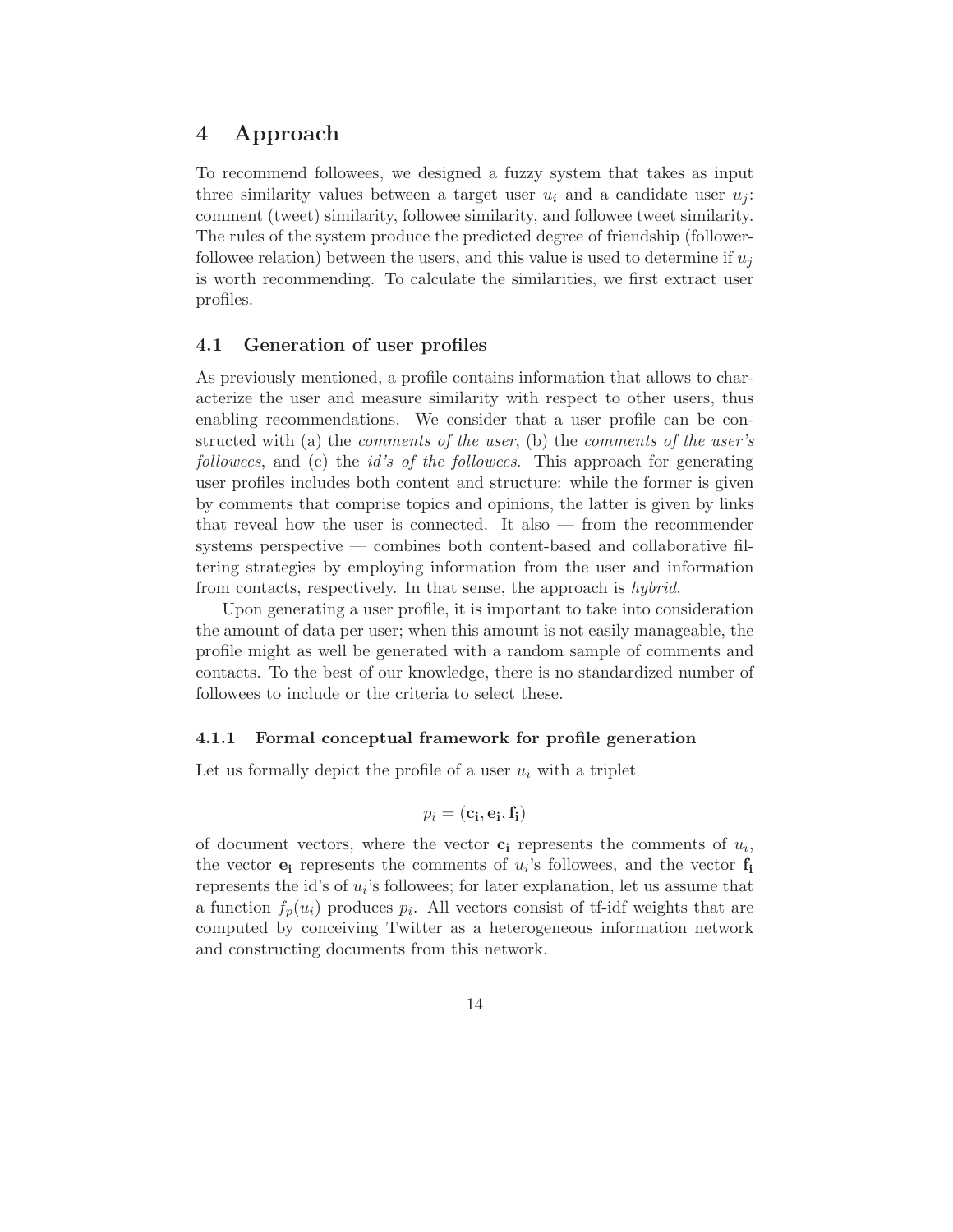# 4 Approach

To recommend followees, we designed a fuzzy system that takes as input three similarity values between a target user  $u_i$  and a candidate user  $u_j$ : comment (tweet) similarity, followee similarity, and followee tweet similarity. The rules of the system produce the predicted degree of friendship (followerfollowee relation) between the users, and this value is used to determine if  $u_i$ is worth recommending. To calculate the similarities, we first extract user profiles.

## 4.1 Generation of user profiles

As previously mentioned, a profile contains information that allows to characterize the user and measure similarity with respect to other users, thus enabling recommendations. We consider that a user profile can be constructed with (a) the comments of the user, (b) the comments of the user's followees, and (c) the id's of the followees. This approach for generating user profiles includes both content and structure: while the former is given by comments that comprise topics and opinions, the latter is given by links that reveal how the user is connected. It also — from the recommender systems perspective — combines both content-based and collaborative filtering strategies by employing information from the user and information from contacts, respectively. In that sense, the approach is hybrid.

Upon generating a user profile, it is important to take into consideration the amount of data per user; when this amount is not easily manageable, the profile might as well be generated with a random sample of comments and contacts. To the best of our knowledge, there is no standardized number of followees to include or the criteria to select these.

#### 4.1.1 Formal conceptual framework for profile generation

Let us formally depict the profile of a user  $u_i$  with a triplet

$$
p_i = (\mathbf{c_i}, \mathbf{e_i}, \mathbf{f_i})
$$

of document vectors, where the vector  $\mathbf{c}_i$  represents the comments of  $u_i$ , the vector  $e_i$  represents the comments of  $u_i$ 's followees, and the vector  $f_i$ represents the id's of  $u_i$ 's followees; for later explanation, let us assume that a function  $f_p(u_i)$  produces  $p_i$ . All vectors consist of tf-idf weights that are computed by conceiving Twitter as a heterogeneous information network and constructing documents from this network.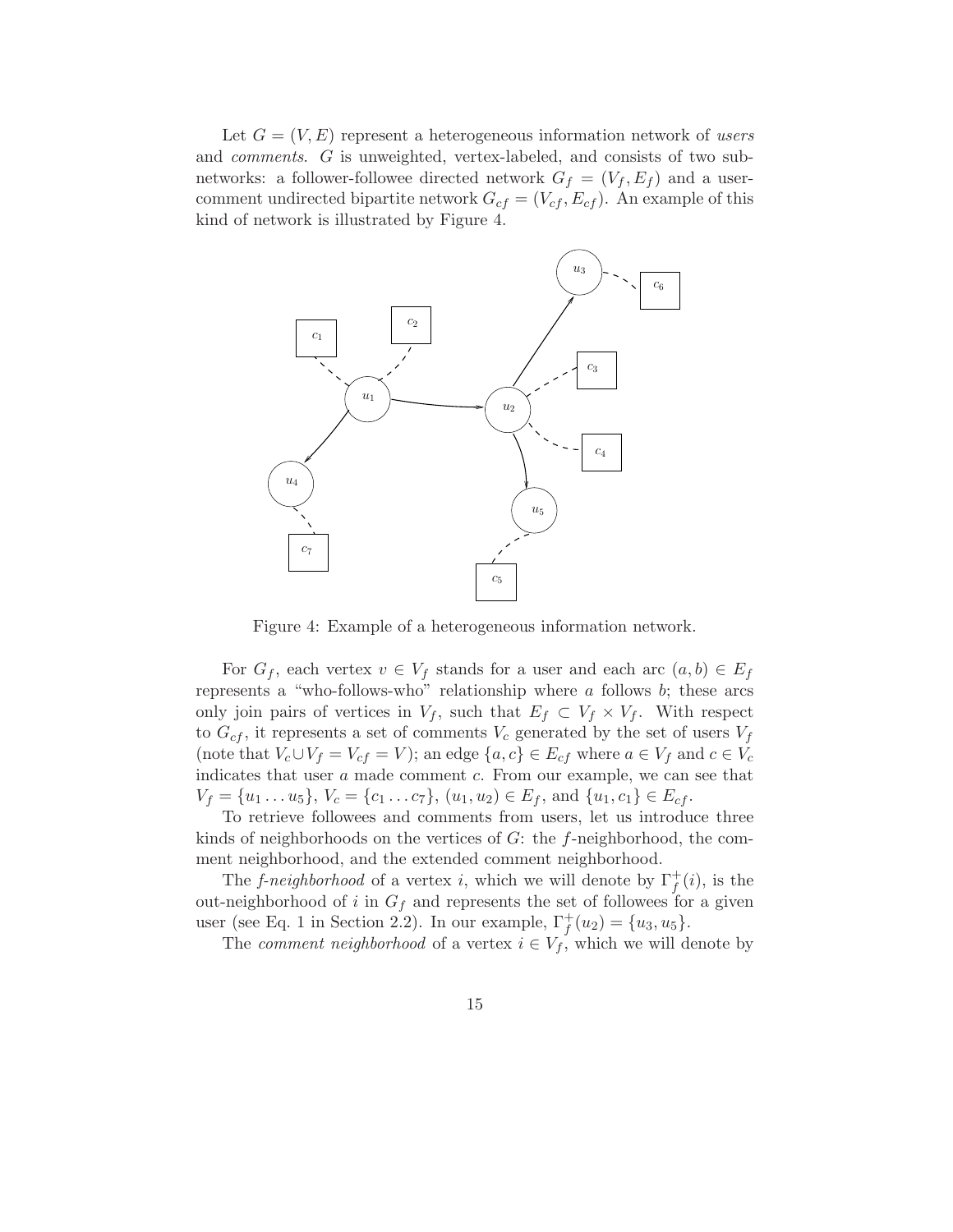Let  $G = (V, E)$  represent a heterogeneous information network of users and comments. G is unweighted, vertex-labeled, and consists of two subnetworks: a follower-followee directed network  $G_f = (V_f, E_f)$  and a usercomment undirected bipartite network  $G_{cf} = (V_{cf}, E_{cf})$ . An example of this kind of network is illustrated by Figure 4.



Figure 4: Example of a heterogeneous information network.

For  $G_f$ , each vertex  $v \in V_f$  stands for a user and each arc  $(a, b) \in E_f$ represents a "who-follows-who" relationship where  $a$  follows  $b$ ; these arcs only join pairs of vertices in  $V_f$ , such that  $E_f \subset V_f \times V_f$ . With respect to  $G_{cf}$ , it represents a set of comments  $V_c$  generated by the set of users  $V_f$ (note that  $V_c \cup V_f = V_{cf} = V$ ); an edge  $\{a, c\} \in E_{cf}$  where  $a \in V_f$  and  $c \in V_c$ indicates that user a made comment c. From our example, we can see that  $V_f = \{u_1 \dots u_5\}, V_c = \{c_1 \dots c_7\}, (u_1, u_2) \in E_f$ , and  $\{u_1, c_1\} \in E_{cf}$ .

To retrieve followees and comments from users, let us introduce three kinds of neighborhoods on the vertices of  $G$ : the  $f$ -neighborhood, the comment neighborhood, and the extended comment neighborhood.

The f-neighborhood of a vertex i, which we will denote by  $\Gamma_f^+(i)$ , is the out-neighborhood of i in  $G_f$  and represents the set of followees for a given user (see Eq. 1 in Section 2.2). In our example,  $\Gamma_f^+(u_2) = \{u_3, u_5\}.$ 

The *comment neighborhood* of a vertex  $i \in V_f$ , which we will denote by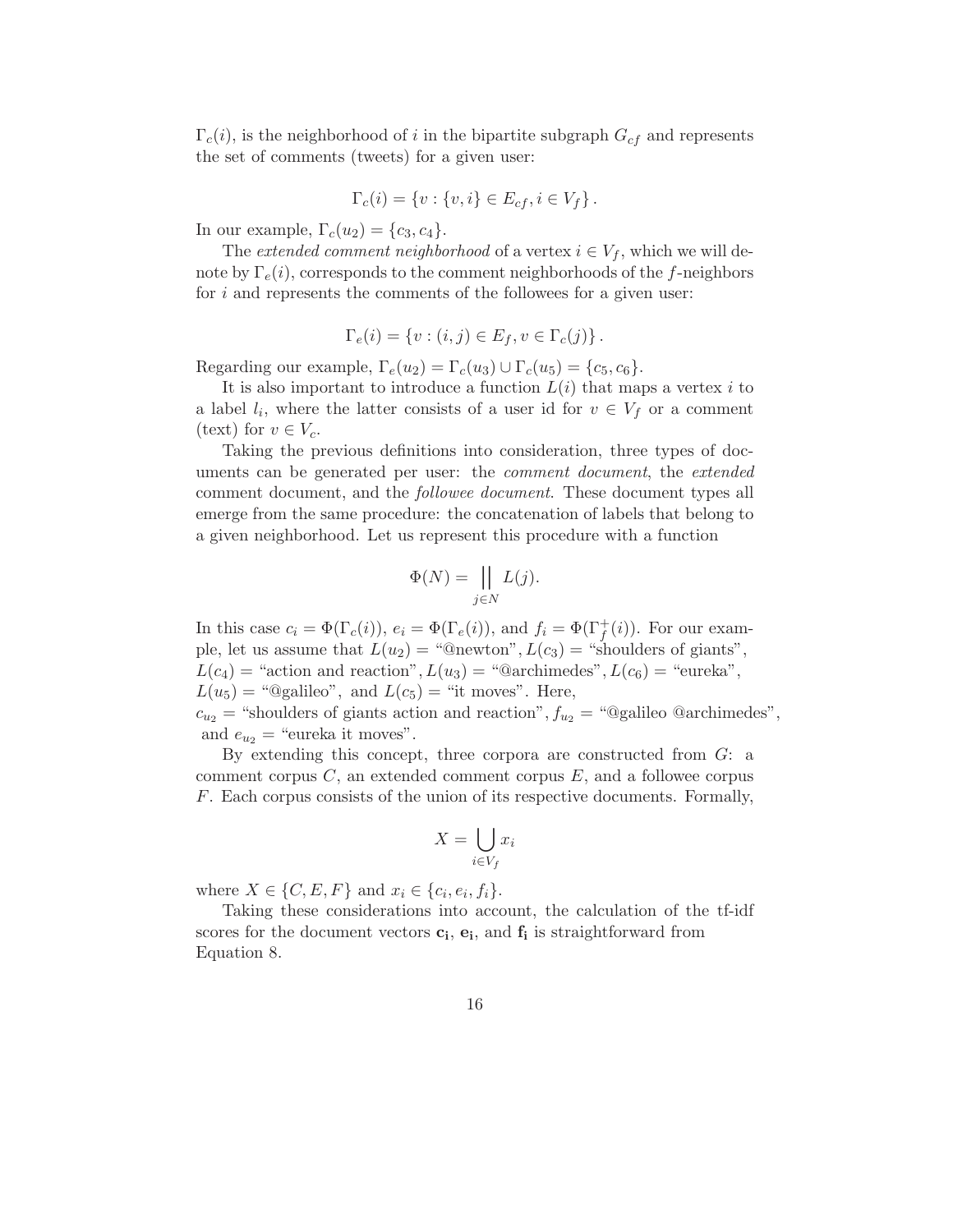$\Gamma_c(i)$ , is the neighborhood of i in the bipartite subgraph  $G_{cf}$  and represents the set of comments (tweets) for a given user:

$$
\Gamma_c(i) = \{v : \{v, i\} \in E_{cf}, i \in V_f\}.
$$

In our example,  $\Gamma_c(u_2) = \{c_3, c_4\}.$ 

The *extended comment neighborhood* of a vertex  $i \in V_f$ , which we will denote by  $\Gamma_e(i)$ , corresponds to the comment neighborhoods of the f-neighbors for i and represents the comments of the followees for a given user:

$$
\Gamma_e(i) = \{ v : (i, j) \in E_f, v \in \Gamma_c(j) \}.
$$

Regarding our example,  $\Gamma_e(u_2) = \Gamma_c(u_3) \cup \Gamma_c(u_5) = \{c_5, c_6\}.$ 

It is also important to introduce a function  $L(i)$  that maps a vertex i to a label  $l_i$ , where the latter consists of a user id for  $v \in V_f$  or a comment (text) for  $v \in V_c$ .

Taking the previous definitions into consideration, three types of documents can be generated per user: the *comment document*, the *extended* comment document, and the followee document. These document types all emerge from the same procedure: the concatenation of labels that belong to a given neighborhood. Let us represent this procedure with a function

$$
\Phi(N) = \prod_{j \in N} L(j).
$$

In this case  $c_i = \Phi(\Gamma_c(i))$ ,  $e_i = \Phi(\Gamma_c(i))$ , and  $f_i = \Phi(\Gamma_f^+(i))$ . For our example, let us assume that  $L(u_2) =$  "@newton",  $L(c_3) =$  "shoulders of giants",  $L(c_4)$  = "action and reaction",  $L(u_3)$  = "@archimedes",  $L(c_6)$  = "eureka",  $L(u_5) =$  "@galileo", and  $L(c_5) =$  "it moves". Here,  $c_{u_2}$  = "shoulders of giants action and reaction",  $f_{u_2}$  = "@galileo @archimedes", and  $e_{u_2}$  = "eureka it moves".

By extending this concept, three corpora are constructed from G: a comment corpus  $C$ , an extended comment corpus  $E$ , and a followee corpus F. Each corpus consists of the union of its respective documents. Formally,

$$
X = \bigcup_{i \in V_f} x_i
$$

where  $X \in \{C, E, F\}$  and  $x_i \in \{c_i, e_i, f_i\}.$ 

Taking these considerations into account, the calculation of the tf-idf scores for the document vectors  $\mathbf{c}_i$ ,  $\mathbf{e}_i$ , and  $\mathbf{f}_i$  is straightforward from Equation 8.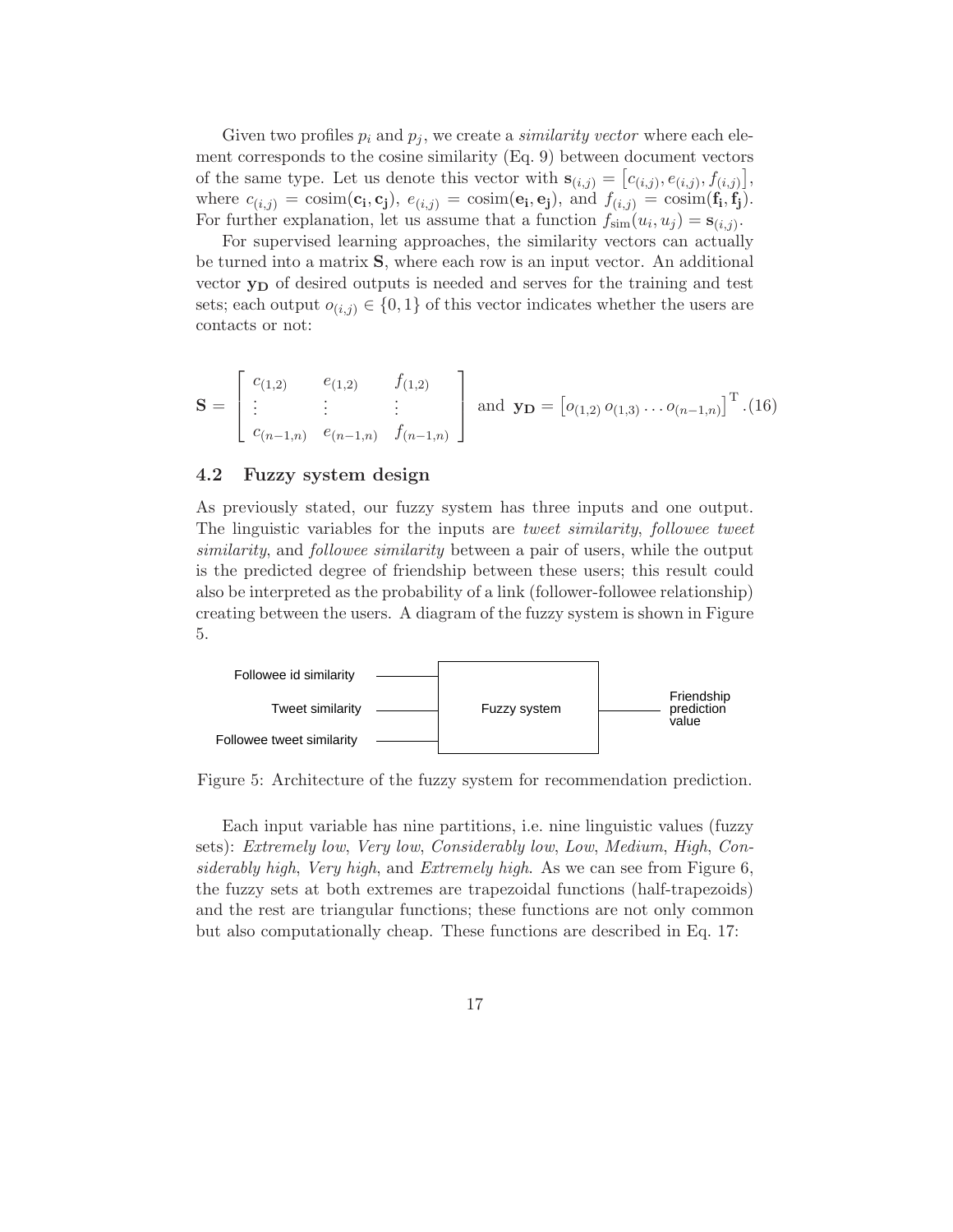Given two profiles  $p_i$  and  $p_j$ , we create a *similarity vector* where each element corresponds to the cosine similarity (Eq. 9) between document vectors of the same type. Let us denote this vector with  $\mathbf{s}_{(i,j)} = [c_{(i,j)}, e_{(i,j)}, f_{(i,j)}],$ where  $c_{(i,j)} = \text{cosim}(\mathbf{c_i}, \mathbf{c_j})$ ,  $e_{(i,j)} = \text{cosim}(\mathbf{e_i}, \mathbf{e_j})$ , and  $f_{(i,j)} = \text{cosim}(\mathbf{f_i}, \mathbf{f_j})$ . For further explanation, let us assume that a function  $f_{\text{sim}}(u_i, u_j) = \mathbf{s}_{(i,j)}$ .

For supervised learning approaches, the similarity vectors can actually be turned into a matrix S, where each row is an input vector. An additional vector  $y_D$  of desired outputs is needed and serves for the training and test sets; each output  $o_{(i,j)} \in \{0,1\}$  of this vector indicates whether the users are contacts or not:

$$
\mathbf{S} = \begin{bmatrix} c_{(1,2)} & e_{(1,2)} & f_{(1,2)} \\ \vdots & \vdots & \vdots \\ c_{(n-1,n)} & e_{(n-1,n)} & f_{(n-1,n)} \end{bmatrix} \text{ and } \mathbf{y_D} = \begin{bmatrix} o_{(1,2)} & o_{(1,3)} & \dots & o_{(n-1,n)} \end{bmatrix}^{\mathrm{T}} . (16)
$$

#### 4.2 Fuzzy system design

As previously stated, our fuzzy system has three inputs and one output. The linguistic variables for the inputs are tweet similarity, followee tweet similarity, and followee similarity between a pair of users, while the output is the predicted degree of friendship between these users; this result could also be interpreted as the probability of a link (follower-followee relationship) creating between the users. A diagram of the fuzzy system is shown in Figure 5.



Figure 5: Architecture of the fuzzy system for recommendation prediction.

Each input variable has nine partitions, i.e. nine linguistic values (fuzzy sets): Extremely low, Very low, Considerably low, Low, Medium, High, Considerably high, Very high, and Extremely high. As we can see from Figure 6, the fuzzy sets at both extremes are trapezoidal functions (half-trapezoids) and the rest are triangular functions; these functions are not only common but also computationally cheap. These functions are described in Eq. 17: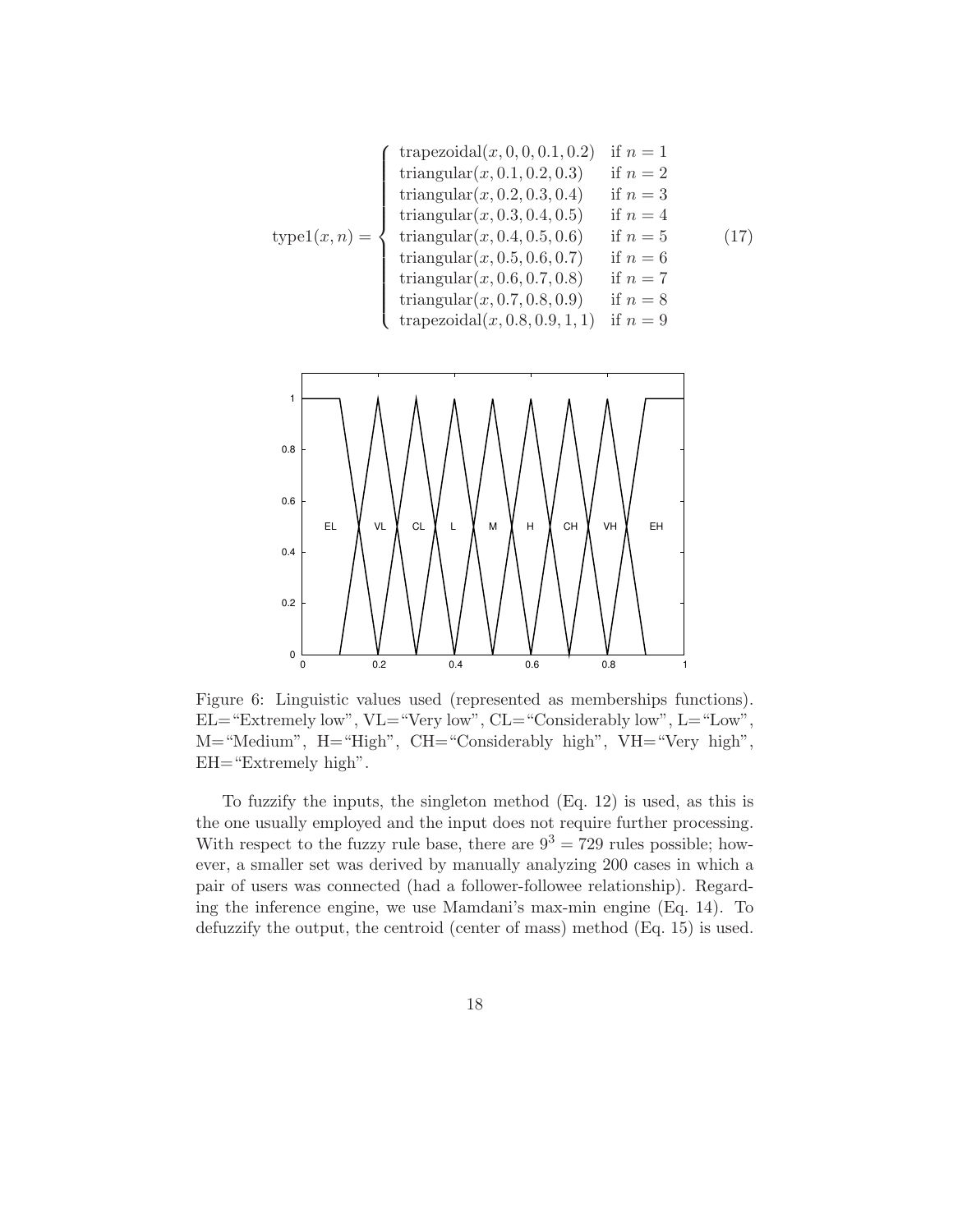$$
type1(x, n) = \begin{cases} \n\text{trapezoidal}(x, 0, 0, 0.1, 0.2) & \text{if } n = 1\\ \n\text{triangular}(x, 0.1, 0.2, 0.3) & \text{if } n = 2\\ \n\text{triangular}(x, 0.2, 0.3, 0.4) & \text{if } n = 3\\ \n\text{triangular}(x, 0.3, 0.4, 0.5) & \text{if } n = 4\\ \n\text{triangular}(x, 0.4, 0.5, 0.6) & \text{if } n = 5\\ \n\text{triangular}(x, 0.5, 0.6, 0.7) & \text{if } n = 6\\ \n\text{triangular}(x, 0.6, 0.7, 0.8) & \text{if } n = 7\\ \n\text{triangular}(x, 0.7, 0.8, 0.9) & \text{if } n = 8\\ \n\text{trapezoidal}(x, 0.8, 0.9, 1, 1) & \text{if } n = 9 \n\end{cases} \tag{17}
$$



Figure 6: Linguistic values used (represented as memberships functions). EL="Extremely low", VL="Very low", CL="Considerably low", L="Low", M="Medium", H="High", CH="Considerably high", VH="Very high", EH="Extremely high".

To fuzzify the inputs, the singleton method (Eq. 12) is used, as this is the one usually employed and the input does not require further processing. With respect to the fuzzy rule base, there are  $9^3 = 729$  rules possible; however, a smaller set was derived by manually analyzing 200 cases in which a pair of users was connected (had a follower-followee relationship). Regarding the inference engine, we use Mamdani's max-min engine (Eq. 14). To defuzzify the output, the centroid (center of mass) method (Eq. 15) is used.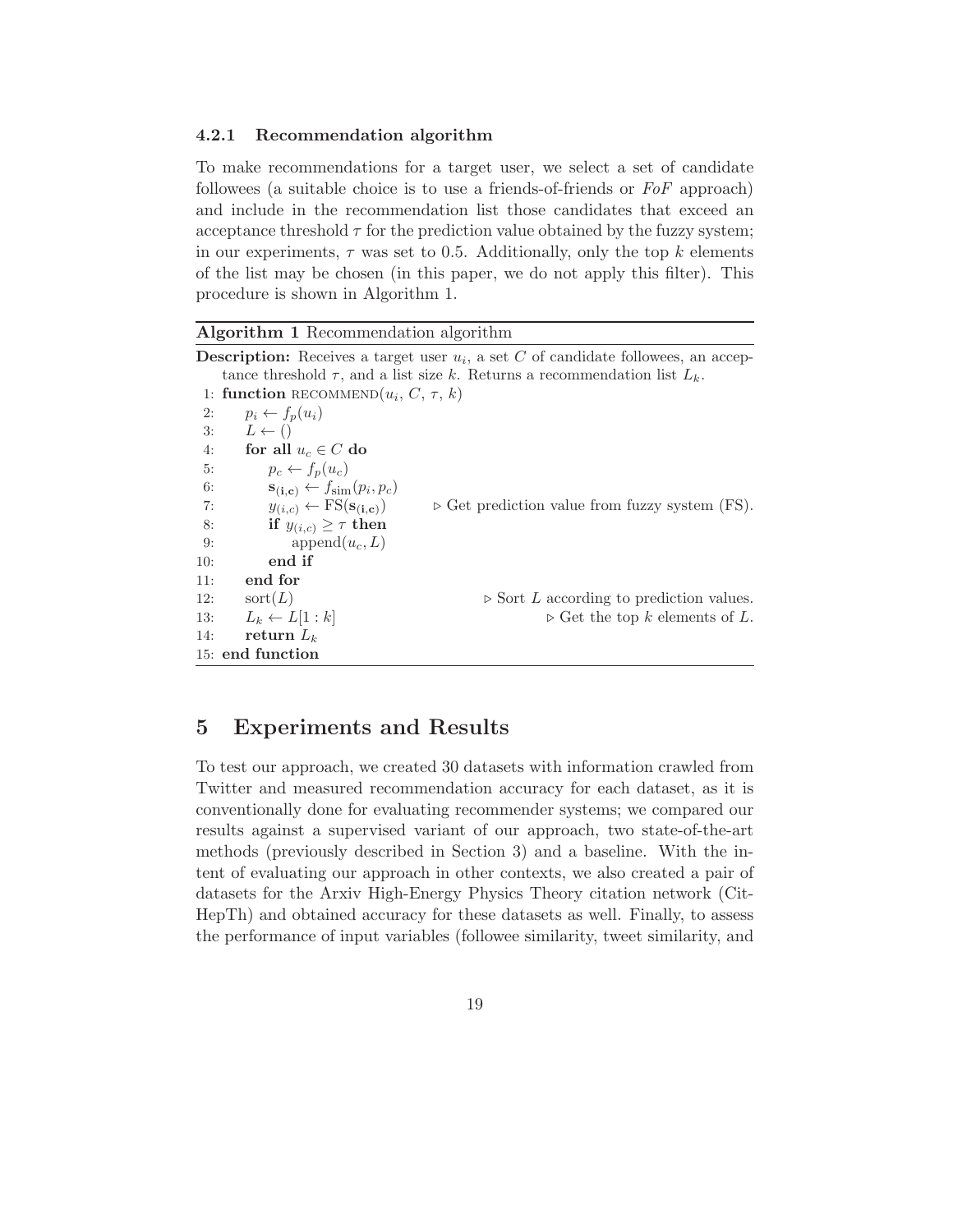#### 4.2.1 Recommendation algorithm

To make recommendations for a target user, we select a set of candidate followees (a suitable choice is to use a friends-of-friends or  $FoF$  approach) and include in the recommendation list those candidates that exceed an acceptance threshold  $\tau$  for the prediction value obtained by the fuzzy system; in our experiments,  $\tau$  was set to 0.5. Additionally, only the top k elements of the list may be chosen (in this paper, we do not apply this filter). This procedure is shown in Algorithm 1.

Algorithm 1 Recommendation algorithm

**Description:** Receives a target user  $u_i$ , a set C of candidate followees, an acceptance threshold  $\tau$ , and a list size k. Returns a recommendation list  $L_k$ . 1: function RECOMMEND $(u_i, C, \tau, k)$ 2:  $p_i \leftarrow f_p(u_i)$ 3:  $L \leftarrow ()$ 4: for all  $u_c \in C$  do 5:  $p_c \leftarrow f_p(u_c)$ 6:  $\mathbf{s}_{(\mathbf{i},\mathbf{c})} \leftarrow f_{\text{sim}}(p_i, p_c)$ 7:  $y_{(i,c)} \leftarrow FS(s_{(i,c)})$   $\triangleright$  Get prediction value from fuzzy system (FS). 8: if  $y_{(i,c)} \geq \tau$  then 9: append $(u_c, L)$ 10: end if 11: end for 12:  $\operatorname{sort}(L)$   $\triangleright$  Sort L according to prediction values. 13:  $L_k \leftarrow L[1:k]$   $\triangleright$  Get the top k elements of L. 14: return  $L_k$ 15: end function

# 5 Experiments and Results

To test our approach, we created 30 datasets with information crawled from Twitter and measured recommendation accuracy for each dataset, as it is conventionally done for evaluating recommender systems; we compared our results against a supervised variant of our approach, two state-of-the-art methods (previously described in Section 3) and a baseline. With the intent of evaluating our approach in other contexts, we also created a pair of datasets for the Arxiv High-Energy Physics Theory citation network (Cit-HepTh) and obtained accuracy for these datasets as well. Finally, to assess the performance of input variables (followee similarity, tweet similarity, and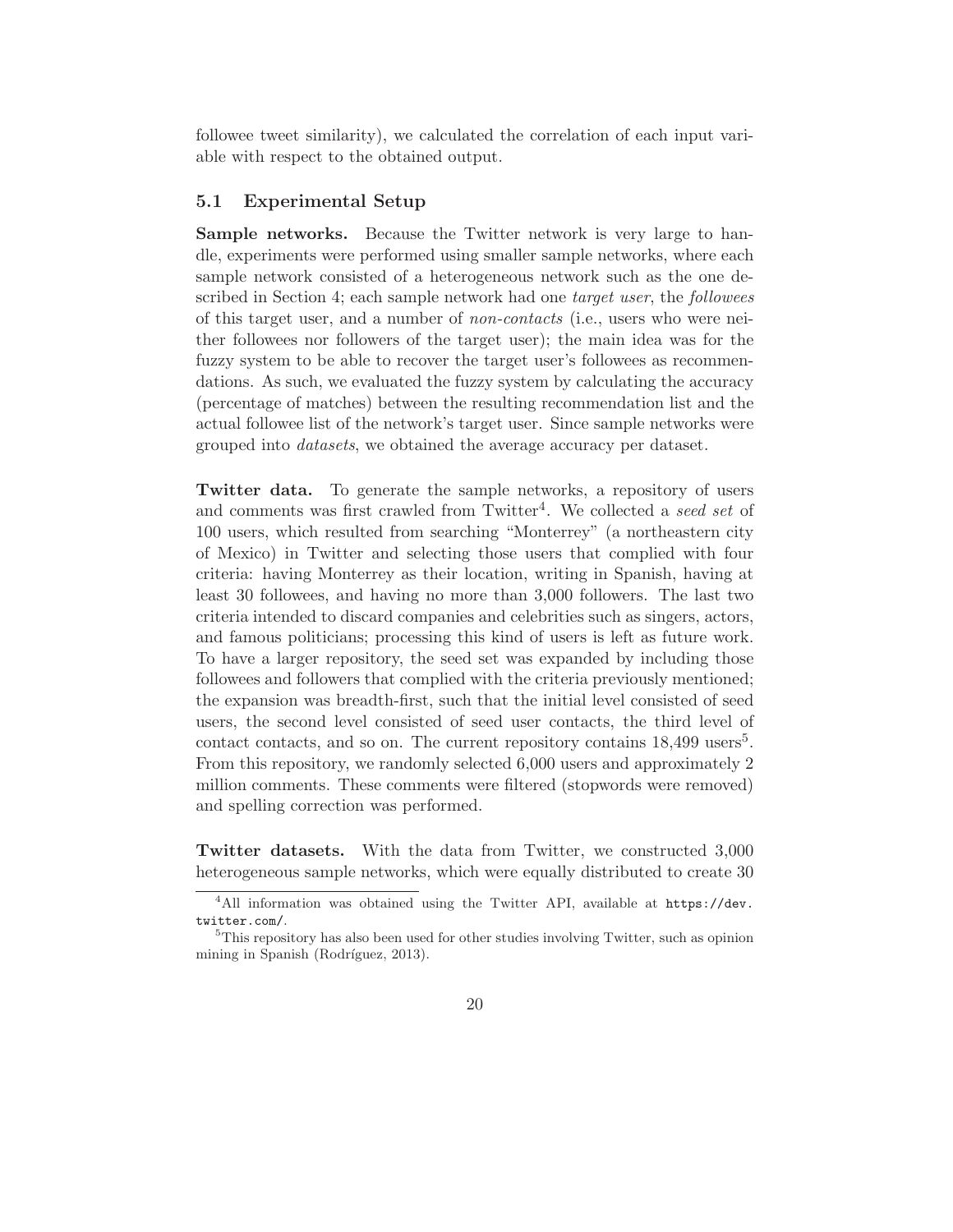followee tweet similarity), we calculated the correlation of each input variable with respect to the obtained output.

# 5.1 Experimental Setup

Sample networks. Because the Twitter network is very large to handle, experiments were performed using smaller sample networks, where each sample network consisted of a heterogeneous network such as the one described in Section 4; each sample network had one *target user*, the *followees* of this target user, and a number of non-contacts (i.e., users who were neither followees nor followers of the target user); the main idea was for the fuzzy system to be able to recover the target user's followees as recommendations. As such, we evaluated the fuzzy system by calculating the accuracy (percentage of matches) between the resulting recommendation list and the actual followee list of the network's target user. Since sample networks were grouped into datasets, we obtained the average accuracy per dataset.

Twitter data. To generate the sample networks, a repository of users and comments was first crawled from Twitter<sup>4</sup>. We collected a seed set of 100 users, which resulted from searching "Monterrey" (a northeastern city of Mexico) in Twitter and selecting those users that complied with four criteria: having Monterrey as their location, writing in Spanish, having at least 30 followees, and having no more than 3,000 followers. The last two criteria intended to discard companies and celebrities such as singers, actors, and famous politicians; processing this kind of users is left as future work. To have a larger repository, the seed set was expanded by including those followees and followers that complied with the criteria previously mentioned; the expansion was breadth-first, such that the initial level consisted of seed users, the second level consisted of seed user contacts, the third level of contact contacts, and so on. The current repository contains  $18,499$  users<sup>5</sup>. From this repository, we randomly selected 6,000 users and approximately 2 million comments. These comments were filtered (stopwords were removed) and spelling correction was performed.

Twitter datasets. With the data from Twitter, we constructed 3,000 heterogeneous sample networks, which were equally distributed to create 30

<sup>&</sup>lt;sup>4</sup>All information was obtained using the Twitter API, available at https://dev. twitter.com/.

<sup>&</sup>lt;sup>5</sup>This repository has also been used for other studies involving Twitter, such as opinion mining in Spanish (Rodríguez, 2013).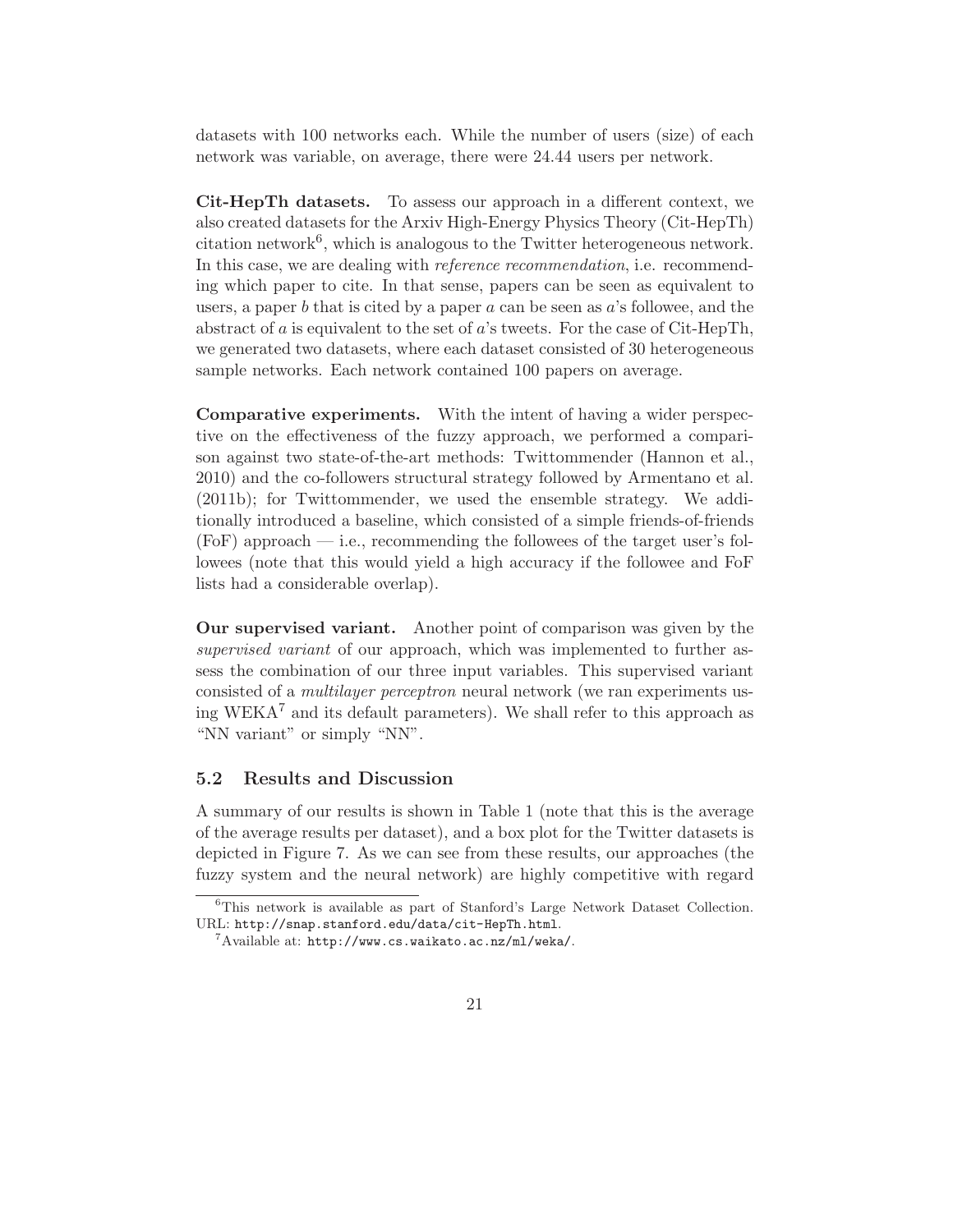datasets with 100 networks each. While the number of users (size) of each network was variable, on average, there were 24.44 users per network.

Cit-HepTh datasets. To assess our approach in a different context, we also created datasets for the Arxiv High-Energy Physics Theory (Cit-HepTh)  $citation network<sup>6</sup>$ , which is analogous to the Twitter heterogeneous network. In this case, we are dealing with reference recommendation, i.e. recommending which paper to cite. In that sense, papers can be seen as equivalent to users, a paper b that is cited by a paper  $a$  can be seen as  $a$ 's followee, and the abstract of a is equivalent to the set of a's tweets. For the case of Cit-HepTh, we generated two datasets, where each dataset consisted of 30 heterogeneous sample networks. Each network contained 100 papers on average.

Comparative experiments. With the intent of having a wider perspective on the effectiveness of the fuzzy approach, we performed a comparison against two state-of-the-art methods: Twittommender (Hannon et al., 2010) and the co-followers structural strategy followed by Armentano et al. (2011b); for Twittommender, we used the ensemble strategy. We additionally introduced a baseline, which consisted of a simple friends-of-friends  $(FoF)$  approach — i.e., recommending the followees of the target user's followees (note that this would yield a high accuracy if the followee and FoF lists had a considerable overlap).

Our supervised variant. Another point of comparison was given by the supervised variant of our approach, which was implemented to further assess the combination of our three input variables. This supervised variant consisted of a multilayer perceptron neural network (we ran experiments using WEKA<sup>7</sup> and its default parameters). We shall refer to this approach as "NN variant" or simply "NN".

# 5.2 Results and Discussion

A summary of our results is shown in Table 1 (note that this is the average of the average results per dataset), and a box plot for the Twitter datasets is depicted in Figure 7. As we can see from these results, our approaches (the fuzzy system and the neural network) are highly competitive with regard

<sup>6</sup>This network is available as part of Stanford's Large Network Dataset Collection. URL: http://snap.stanford.edu/data/cit-HepTh.html.

 $7$ Available at: http://www.cs.waikato.ac.nz/ml/weka/.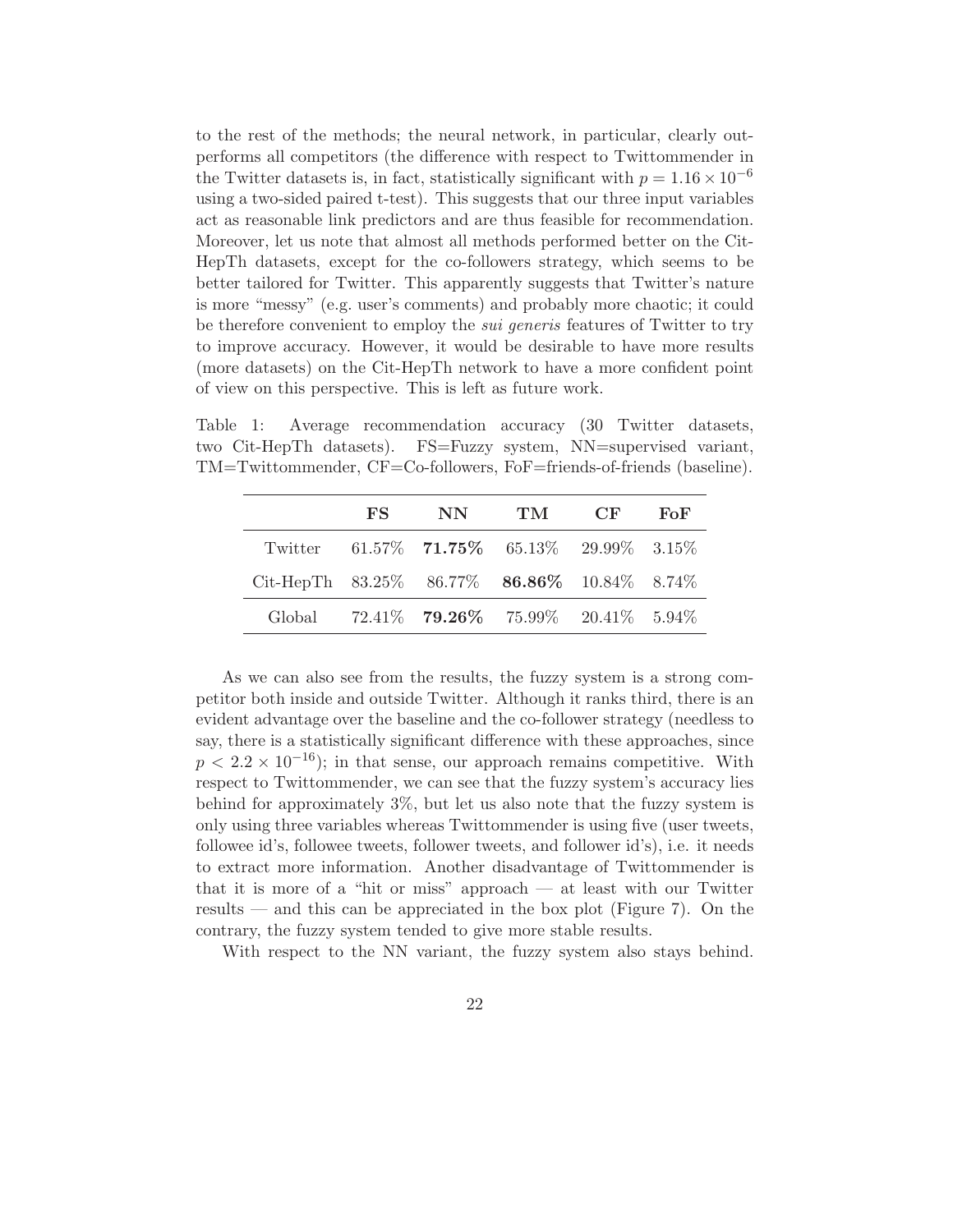to the rest of the methods; the neural network, in particular, clearly outperforms all competitors (the difference with respect to Twittommender in the Twitter datasets is, in fact, statistically significant with  $p = 1.16 \times 10^{-6}$ using a two-sided paired t-test). This suggests that our three input variables act as reasonable link predictors and are thus feasible for recommendation. Moreover, let us note that almost all methods performed better on the Cit-HepTh datasets, except for the co-followers strategy, which seems to be better tailored for Twitter. This apparently suggests that Twitter's nature is more "messy" (e.g. user's comments) and probably more chaotic; it could be therefore convenient to employ the *sui generis* features of Twitter to try to improve accuracy. However, it would be desirable to have more results (more datasets) on the Cit-HepTh network to have a more confident point of view on this perspective. This is left as future work.

Table 1: Average recommendation accuracy (30 Twitter datasets, two Cit-HepTh datasets). FS=Fuzzy system, NN=supervised variant, TM=Twittommender, CF=Co-followers, FoF=friends-of-friends (baseline).

|                                                    | FS | NN 1                                              | <b>TM</b> | CF | FoF |
|----------------------------------------------------|----|---------------------------------------------------|-----------|----|-----|
| Twitter $61.57\%$ 71.75\% $65.13\%$ 29.99\% 3.15\% |    |                                                   |           |    |     |
| Cit-HepTh 83.25% 86.77% 86.86% 10.84% 8.74%        |    |                                                   |           |    |     |
|                                                    |    | Global $72.41\%$ 79.26\% $75.99\%$ 20.41\% 5.94\% |           |    |     |

As we can also see from the results, the fuzzy system is a strong competitor both inside and outside Twitter. Although it ranks third, there is an evident advantage over the baseline and the co-follower strategy (needless to say, there is a statistically significant difference with these approaches, since  $p < 2.2 \times 10^{-16}$ ; in that sense, our approach remains competitive. With respect to Twittommender, we can see that the fuzzy system's accuracy lies behind for approximately 3%, but let us also note that the fuzzy system is only using three variables whereas Twittommender is using five (user tweets, followee id's, followee tweets, follower tweets, and follower id's), i.e. it needs to extract more information. Another disadvantage of Twittommender is that it is more of a "hit or miss" approach — at least with our Twitter results — and this can be appreciated in the box plot (Figure 7). On the contrary, the fuzzy system tended to give more stable results.

With respect to the NN variant, the fuzzy system also stays behind.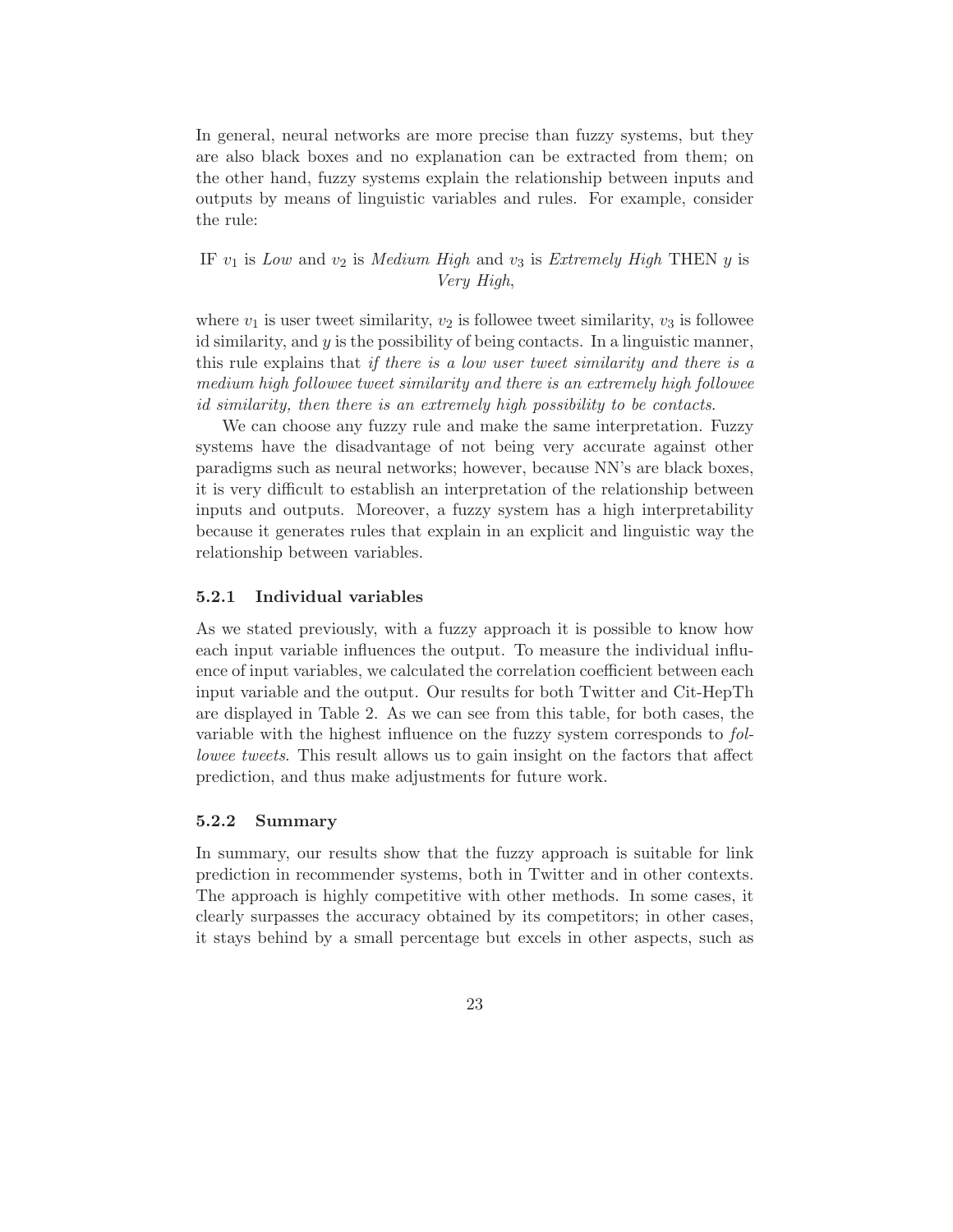In general, neural networks are more precise than fuzzy systems, but they are also black boxes and no explanation can be extracted from them; on the other hand, fuzzy systems explain the relationship between inputs and outputs by means of linguistic variables and rules. For example, consider the rule:

IF  $v_1$  is Low and  $v_2$  is Medium High and  $v_3$  is Extremely High THEN y is Very High,

where  $v_1$  is user tweet similarity,  $v_2$  is followee tweet similarity,  $v_3$  is followee id similarity, and  $y$  is the possibility of being contacts. In a linguistic manner, this rule explains that if there is a low user tweet similarity and there is a medium high followee tweet similarity and there is an extremely high followee id similarity, then there is an extremely high possibility to be contacts.

We can choose any fuzzy rule and make the same interpretation. Fuzzy systems have the disadvantage of not being very accurate against other paradigms such as neural networks; however, because NN's are black boxes, it is very difficult to establish an interpretation of the relationship between inputs and outputs. Moreover, a fuzzy system has a high interpretability because it generates rules that explain in an explicit and linguistic way the relationship between variables.

### 5.2.1 Individual variables

As we stated previously, with a fuzzy approach it is possible to know how each input variable influences the output. To measure the individual influence of input variables, we calculated the correlation coefficient between each input variable and the output. Our results for both Twitter and Cit-HepTh are displayed in Table 2. As we can see from this table, for both cases, the variable with the highest influence on the fuzzy system corresponds to followee tweets. This result allows us to gain insight on the factors that affect prediction, and thus make adjustments for future work.

#### 5.2.2 Summary

In summary, our results show that the fuzzy approach is suitable for link prediction in recommender systems, both in Twitter and in other contexts. The approach is highly competitive with other methods. In some cases, it clearly surpasses the accuracy obtained by its competitors; in other cases, it stays behind by a small percentage but excels in other aspects, such as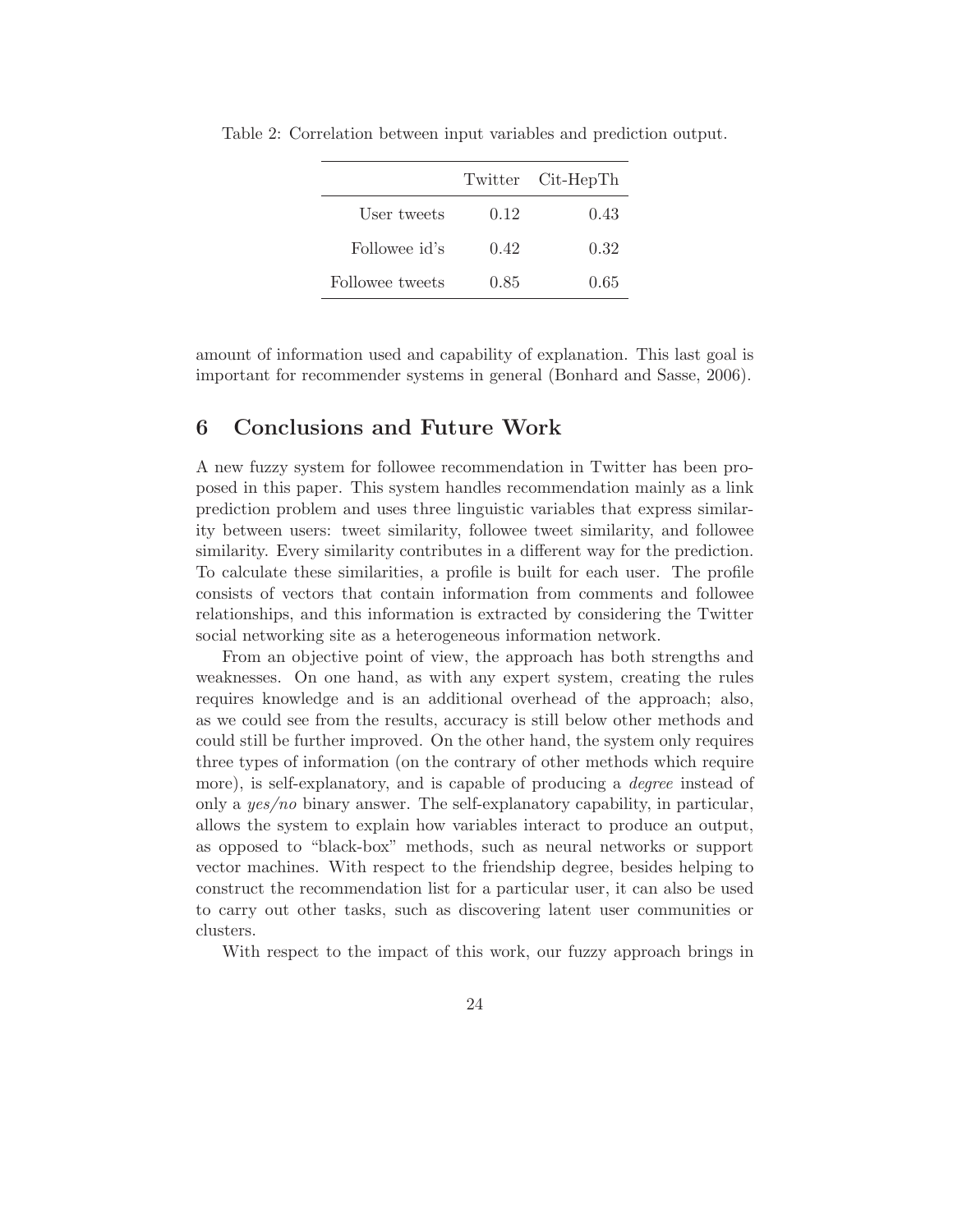|                 |      | Twitter Cit-HepTh |
|-----------------|------|-------------------|
| User tweets     | 0.12 | 0.43              |
| Followee id's   | 0.42 | 0.32              |
| Followee tweets | 0.85 | 0.65              |

Table 2: Correlation between input variables and prediction output.

amount of information used and capability of explanation. This last goal is important for recommender systems in general (Bonhard and Sasse, 2006).

# 6 Conclusions and Future Work

A new fuzzy system for followee recommendation in Twitter has been proposed in this paper. This system handles recommendation mainly as a link prediction problem and uses three linguistic variables that express similarity between users: tweet similarity, followee tweet similarity, and followee similarity. Every similarity contributes in a different way for the prediction. To calculate these similarities, a profile is built for each user. The profile consists of vectors that contain information from comments and followee relationships, and this information is extracted by considering the Twitter social networking site as a heterogeneous information network.

From an objective point of view, the approach has both strengths and weaknesses. On one hand, as with any expert system, creating the rules requires knowledge and is an additional overhead of the approach; also, as we could see from the results, accuracy is still below other methods and could still be further improved. On the other hand, the system only requires three types of information (on the contrary of other methods which require more), is self-explanatory, and is capable of producing a *degree* instead of only a yes/no binary answer. The self-explanatory capability, in particular, allows the system to explain how variables interact to produce an output, as opposed to "black-box" methods, such as neural networks or support vector machines. With respect to the friendship degree, besides helping to construct the recommendation list for a particular user, it can also be used to carry out other tasks, such as discovering latent user communities or clusters.

With respect to the impact of this work, our fuzzy approach brings in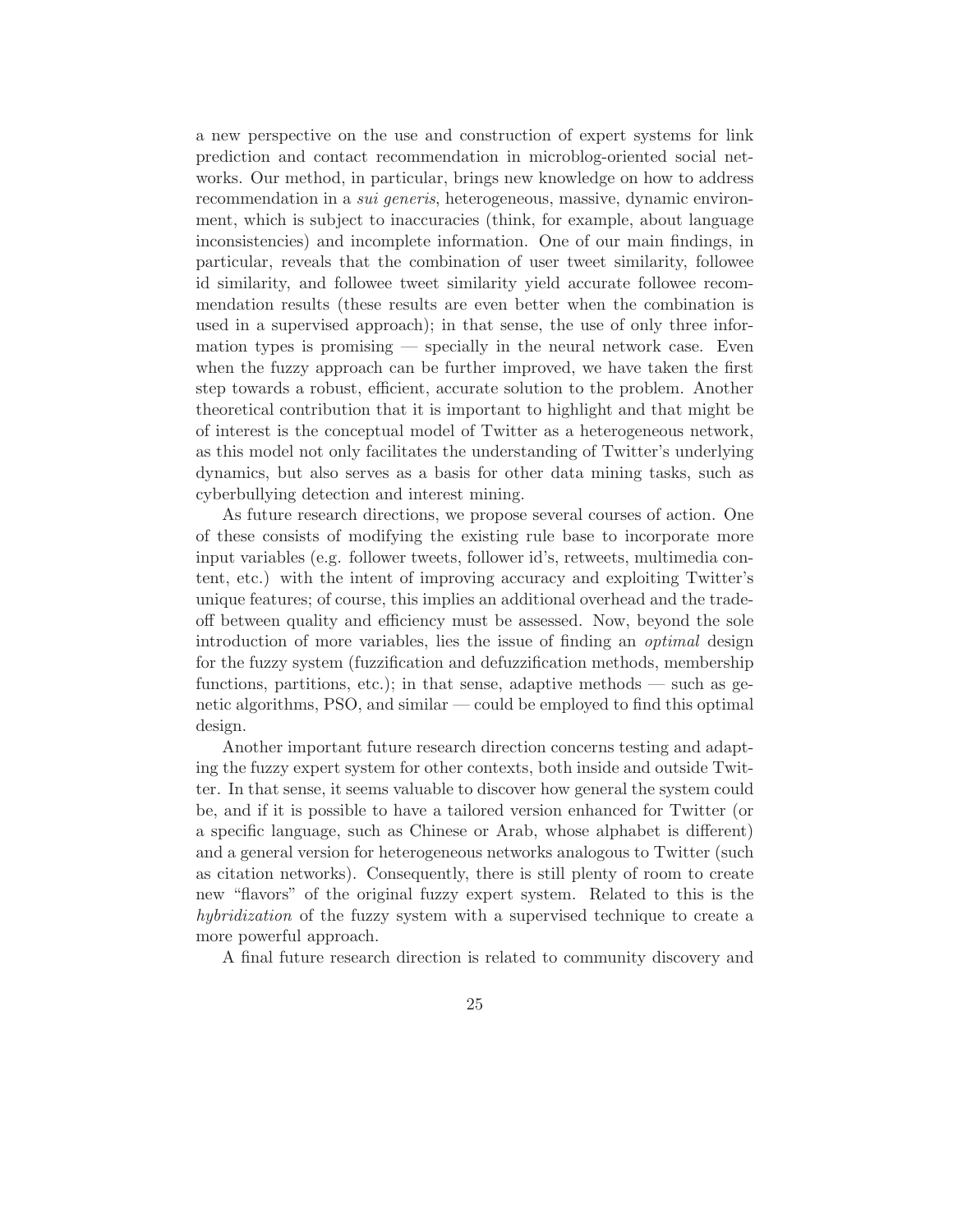a new perspective on the use and construction of expert systems for link prediction and contact recommendation in microblog-oriented social networks. Our method, in particular, brings new knowledge on how to address recommendation in a sui generis, heterogeneous, massive, dynamic environment, which is subject to inaccuracies (think, for example, about language inconsistencies) and incomplete information. One of our main findings, in particular, reveals that the combination of user tweet similarity, followee id similarity, and followee tweet similarity yield accurate followee recommendation results (these results are even better when the combination is used in a supervised approach); in that sense, the use of only three information types is promising — specially in the neural network case. Even when the fuzzy approach can be further improved, we have taken the first step towards a robust, efficient, accurate solution to the problem. Another theoretical contribution that it is important to highlight and that might be of interest is the conceptual model of Twitter as a heterogeneous network, as this model not only facilitates the understanding of Twitter's underlying dynamics, but also serves as a basis for other data mining tasks, such as cyberbullying detection and interest mining.

As future research directions, we propose several courses of action. One of these consists of modifying the existing rule base to incorporate more input variables (e.g. follower tweets, follower id's, retweets, multimedia content, etc.) with the intent of improving accuracy and exploiting Twitter's unique features; of course, this implies an additional overhead and the tradeoff between quality and efficiency must be assessed. Now, beyond the sole introduction of more variables, lies the issue of finding an optimal design for the fuzzy system (fuzzification and defuzzification methods, membership functions, partitions, etc.); in that sense, adaptive methods — such as genetic algorithms, PSO, and similar — could be employed to find this optimal design.

Another important future research direction concerns testing and adapting the fuzzy expert system for other contexts, both inside and outside Twitter. In that sense, it seems valuable to discover how general the system could be, and if it is possible to have a tailored version enhanced for Twitter (or a specific language, such as Chinese or Arab, whose alphabet is different) and a general version for heterogeneous networks analogous to Twitter (such as citation networks). Consequently, there is still plenty of room to create new "flavors" of the original fuzzy expert system. Related to this is the hybridization of the fuzzy system with a supervised technique to create a more powerful approach.

A final future research direction is related to community discovery and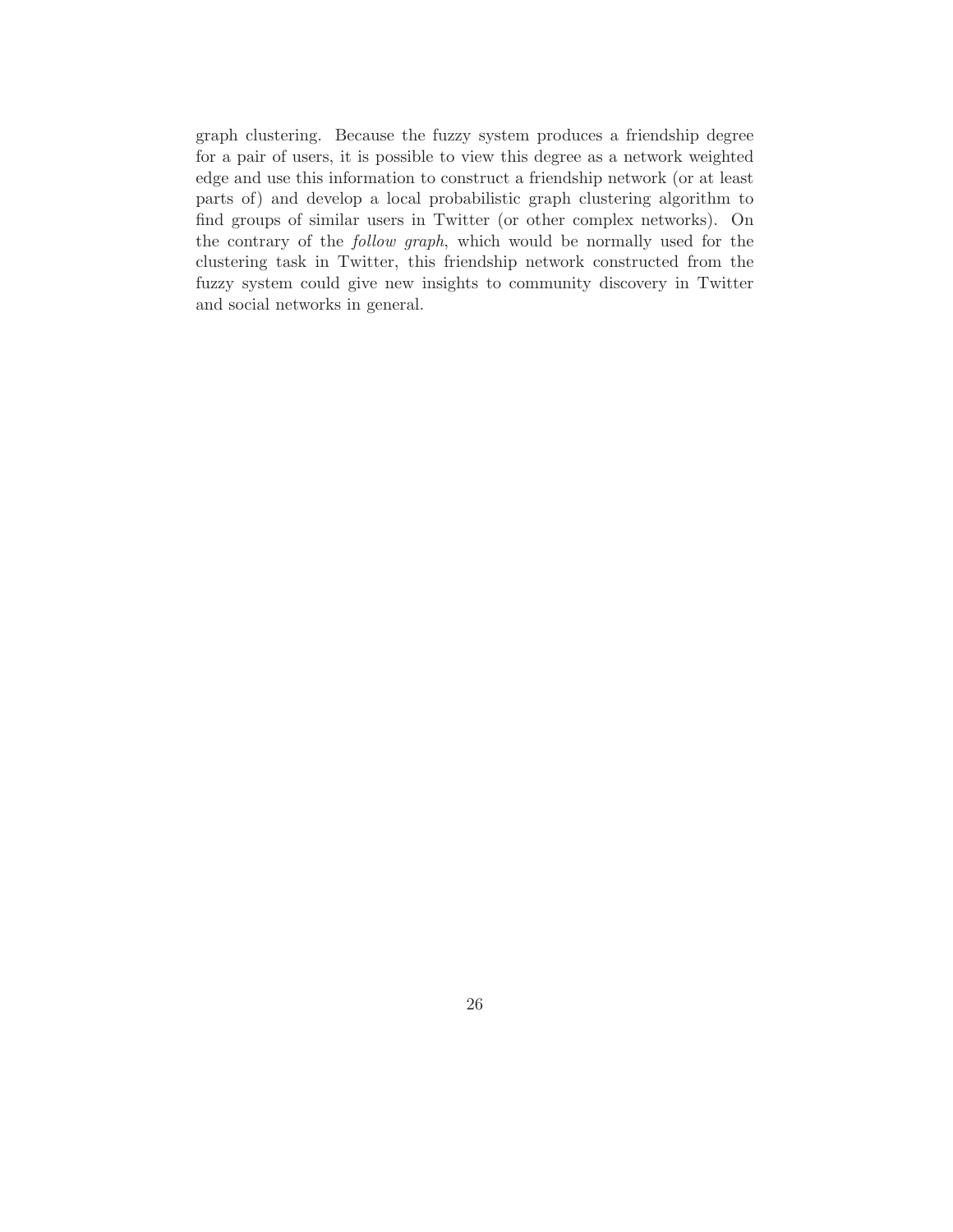graph clustering. Because the fuzzy system produces a friendship degree for a pair of users, it is possible to view this degree as a network weighted edge and use this information to construct a friendship network (or at least parts of) and develop a local probabilistic graph clustering algorithm to find groups of similar users in Twitter (or other complex networks). On the contrary of the follow graph, which would be normally used for the clustering task in Twitter, this friendship network constructed from the fuzzy system could give new insights to community discovery in Twitter and social networks in general.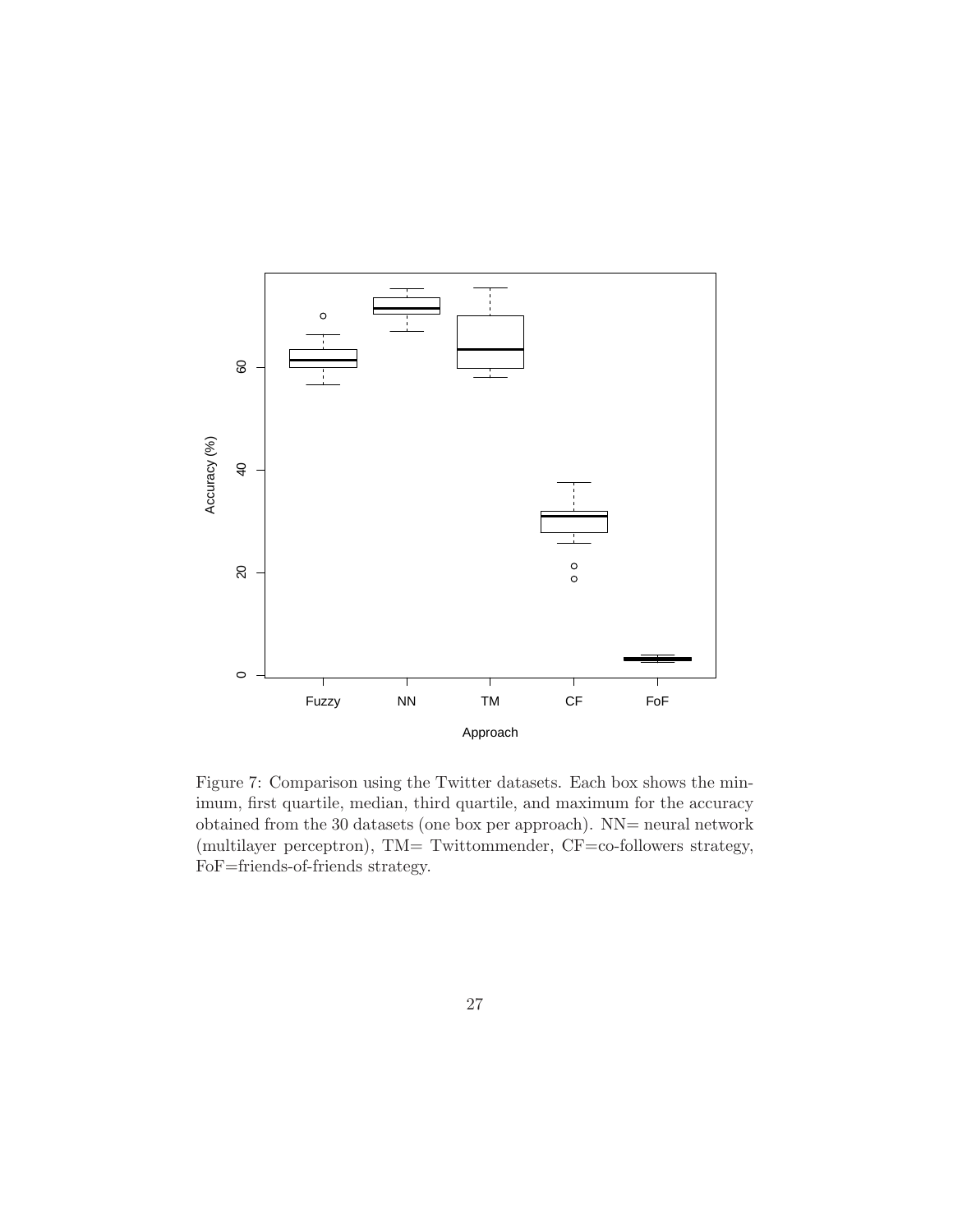

Figure 7: Comparison using the Twitter datasets. Each box shows the minimum, first quartile, median, third quartile, and maximum for the accuracy obtained from the 30 datasets (one box per approach). NN= neural network (multilayer perceptron), TM= Twittommender, CF=co-followers strategy, FoF=friends-of-friends strategy.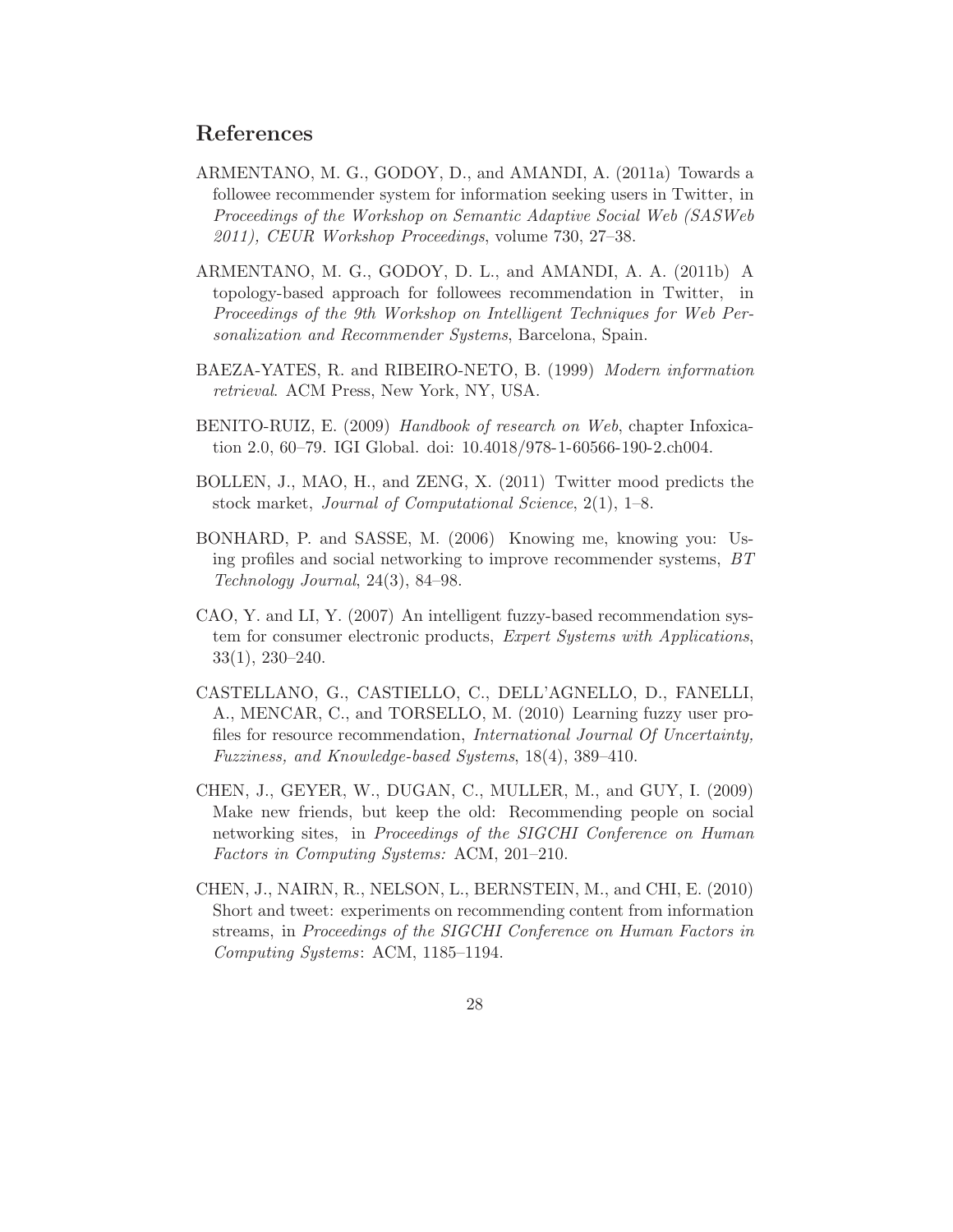# References

- ARMENTANO, M. G., GODOY, D., and AMANDI, A. (2011a) Towards a followee recommender system for information seeking users in Twitter, in Proceedings of the Workshop on Semantic Adaptive Social Web (SASWeb 2011), CEUR Workshop Proceedings, volume 730, 27–38.
- ARMENTANO, M. G., GODOY, D. L., and AMANDI, A. A. (2011b) A topology-based approach for followees recommendation in Twitter, in Proceedings of the 9th Workshop on Intelligent Techniques for Web Personalization and Recommender Systems, Barcelona, Spain.
- BAEZA-YATES, R. and RIBEIRO-NETO, B. (1999) Modern information retrieval. ACM Press, New York, NY, USA.
- BENITO-RUIZ, E. (2009) Handbook of research on Web, chapter Infoxication 2.0, 60–79. IGI Global. doi: 10.4018/978-1-60566-190-2.ch004.
- BOLLEN, J., MAO, H., and ZENG, X. (2011) Twitter mood predicts the stock market, Journal of Computational Science, 2(1), 1–8.
- BONHARD, P. and SASSE, M. (2006) Knowing me, knowing you: Using profiles and social networking to improve recommender systems, BT Technology Journal, 24(3), 84–98.
- CAO, Y. and LI, Y. (2007) An intelligent fuzzy-based recommendation system for consumer electronic products, *Expert Systems with Applications*, 33(1), 230–240.
- CASTELLANO, G., CASTIELLO, C., DELL'AGNELLO, D., FANELLI, A., MENCAR, C., and TORSELLO, M. (2010) Learning fuzzy user profiles for resource recommendation, International Journal Of Uncertainty, Fuzziness, and Knowledge-based Systems, 18(4), 389–410.
- CHEN, J., GEYER, W., DUGAN, C., MULLER, M., and GUY, I. (2009) Make new friends, but keep the old: Recommending people on social networking sites, in Proceedings of the SIGCHI Conference on Human Factors in Computing Systems: ACM, 201–210.
- CHEN, J., NAIRN, R., NELSON, L., BERNSTEIN, M., and CHI, E. (2010) Short and tweet: experiments on recommending content from information streams, in Proceedings of the SIGCHI Conference on Human Factors in Computing Systems: ACM, 1185–1194.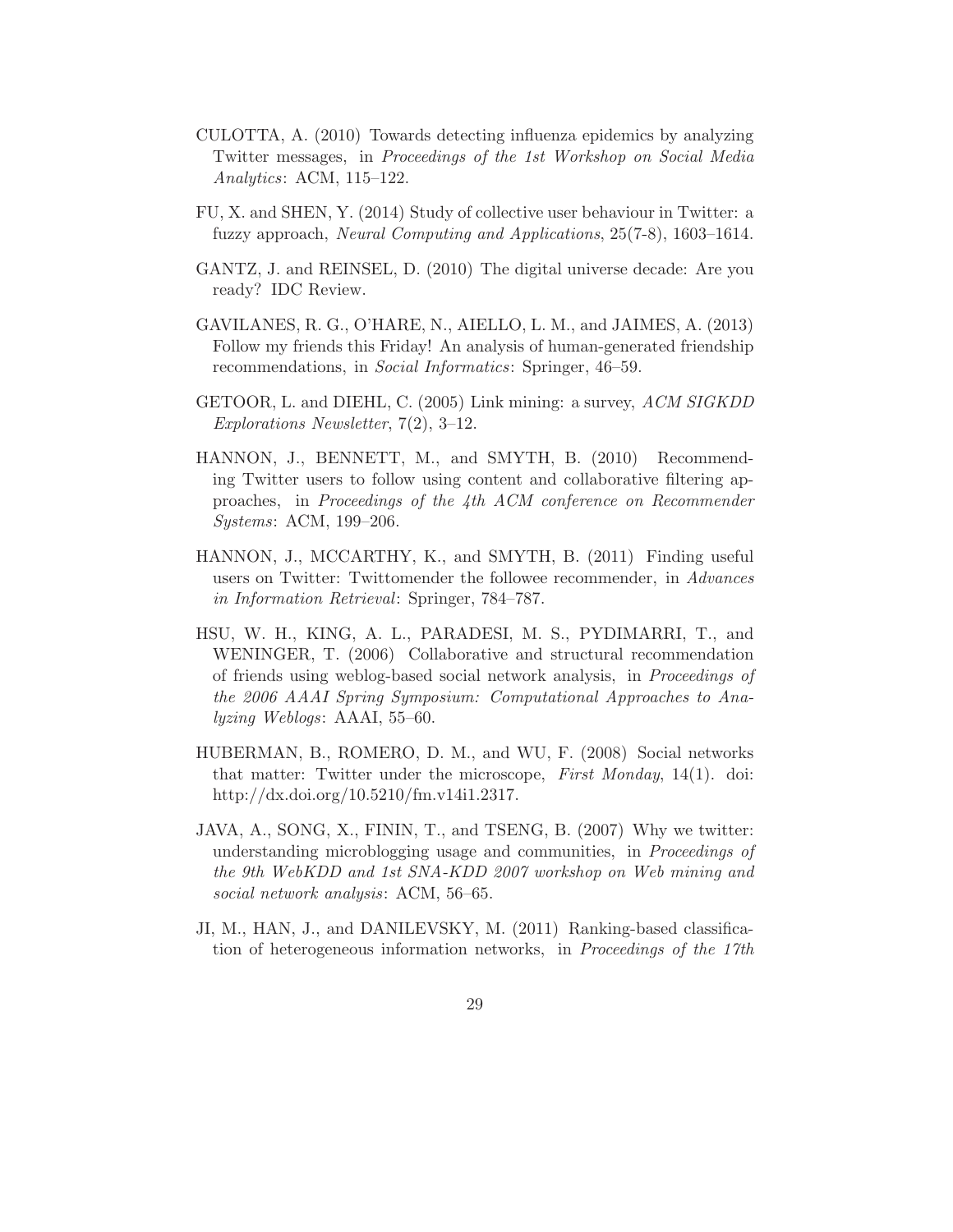- CULOTTA, A. (2010) Towards detecting influenza epidemics by analyzing Twitter messages, in Proceedings of the 1st Workshop on Social Media Analytics: ACM, 115–122.
- FU, X. and SHEN, Y. (2014) Study of collective user behaviour in Twitter: a fuzzy approach, Neural Computing and Applications, 25(7-8), 1603–1614.
- GANTZ, J. and REINSEL, D. (2010) The digital universe decade: Are you ready? IDC Review.
- GAVILANES, R. G., O'HARE, N., AIELLO, L. M., and JAIMES, A. (2013) Follow my friends this Friday! An analysis of human-generated friendship recommendations, in Social Informatics: Springer, 46–59.
- GETOOR, L. and DIEHL, C. (2005) Link mining: a survey, ACM SIGKDD Explorations Newsletter, 7(2), 3–12.
- HANNON, J., BENNETT, M., and SMYTH, B. (2010) Recommending Twitter users to follow using content and collaborative filtering approaches, in Proceedings of the 4th ACM conference on Recommender Systems: ACM, 199–206.
- HANNON, J., MCCARTHY, K., and SMYTH, B. (2011) Finding useful users on Twitter: Twittomender the followee recommender, in Advances in Information Retrieval: Springer, 784–787.
- HSU, W. H., KING, A. L., PARADESI, M. S., PYDIMARRI, T., and WENINGER, T. (2006) Collaborative and structural recommendation of friends using weblog-based social network analysis, in Proceedings of the 2006 AAAI Spring Symposium: Computational Approaches to Analyzing Weblogs: AAAI, 55–60.
- HUBERMAN, B., ROMERO, D. M., and WU, F. (2008) Social networks that matter: Twitter under the microscope, *First Monday*,  $14(1)$ . doi: http://dx.doi.org/10.5210/fm.v14i1.2317.
- JAVA, A., SONG, X., FININ, T., and TSENG, B. (2007) Why we twitter: understanding microblogging usage and communities, in Proceedings of the 9th WebKDD and 1st SNA-KDD 2007 workshop on Web mining and social network analysis: ACM, 56–65.
- JI, M., HAN, J., and DANILEVSKY, M. (2011) Ranking-based classification of heterogeneous information networks, in Proceedings of the 17th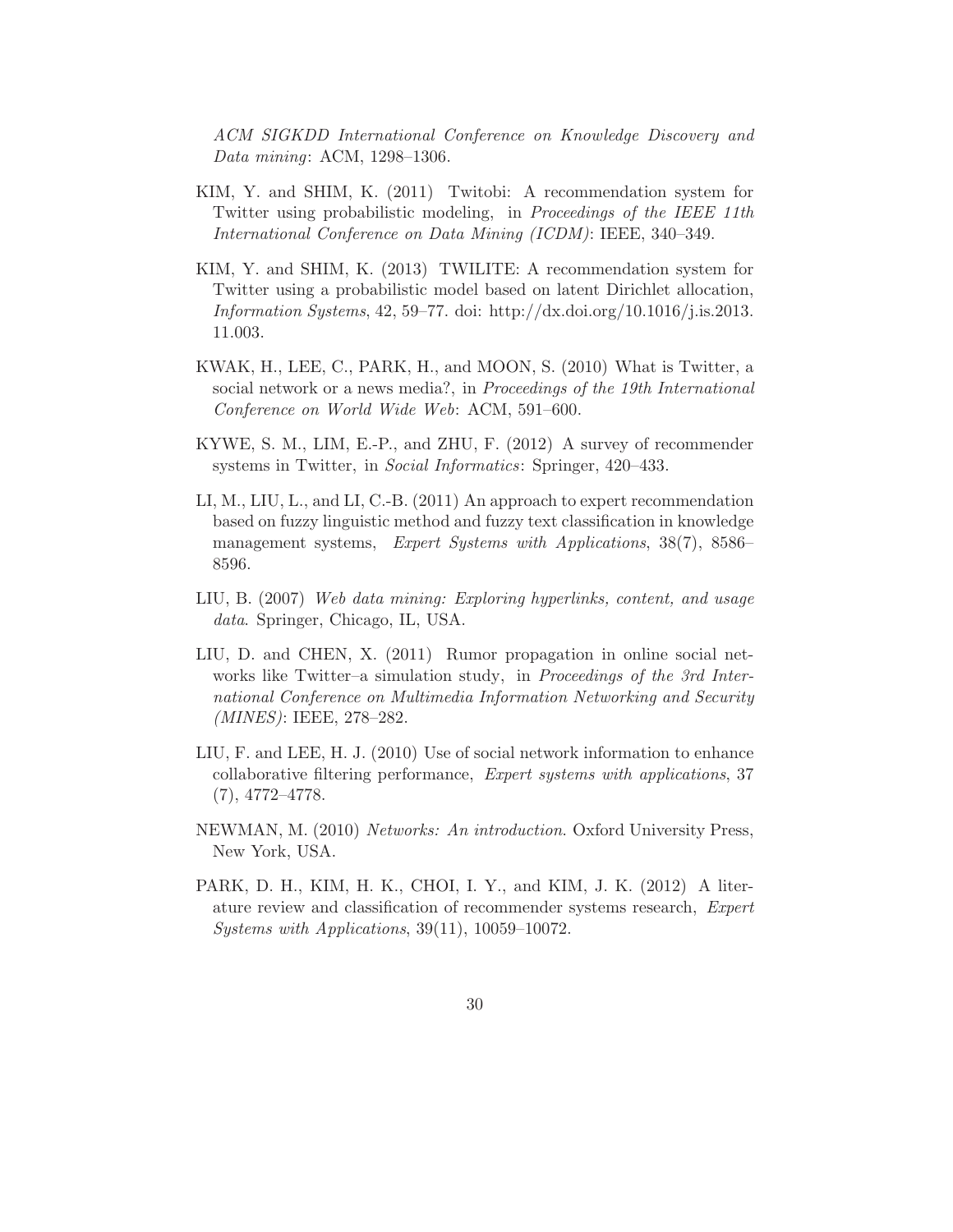ACM SIGKDD International Conference on Knowledge Discovery and Data mining: ACM, 1298–1306.

- KIM, Y. and SHIM, K. (2011) Twitobi: A recommendation system for Twitter using probabilistic modeling, in Proceedings of the IEEE 11th International Conference on Data Mining (ICDM): IEEE, 340–349.
- KIM, Y. and SHIM, K. (2013) TWILITE: A recommendation system for Twitter using a probabilistic model based on latent Dirichlet allocation, Information Systems, 42, 59–77. doi: http://dx.doi.org/10.1016/j.is.2013. 11.003.
- KWAK, H., LEE, C., PARK, H., and MOON, S. (2010) What is Twitter, a social network or a news media?, in Proceedings of the 19th International Conference on World Wide Web: ACM, 591–600.
- KYWE, S. M., LIM, E.-P., and ZHU, F. (2012) A survey of recommender systems in Twitter, in Social Informatics: Springer, 420–433.
- LI, M., LIU, L., and LI, C.-B. (2011) An approach to expert recommendation based on fuzzy linguistic method and fuzzy text classification in knowledge management systems, Expert Systems with Applications, 38(7), 8586– 8596.
- LIU, B. (2007) Web data mining: Exploring hyperlinks, content, and usage data. Springer, Chicago, IL, USA.
- LIU, D. and CHEN, X. (2011) Rumor propagation in online social networks like Twitter–a simulation study, in Proceedings of the 3rd International Conference on Multimedia Information Networking and Security (MINES): IEEE, 278–282.
- LIU, F. and LEE, H. J. (2010) Use of social network information to enhance collaborative filtering performance, Expert systems with applications, 37 (7), 4772–4778.
- NEWMAN, M. (2010) Networks: An introduction. Oxford University Press, New York, USA.
- PARK, D. H., KIM, H. K., CHOI, I. Y., and KIM, J. K. (2012) A literature review and classification of recommender systems research, Expert Systems with Applications, 39(11), 10059–10072.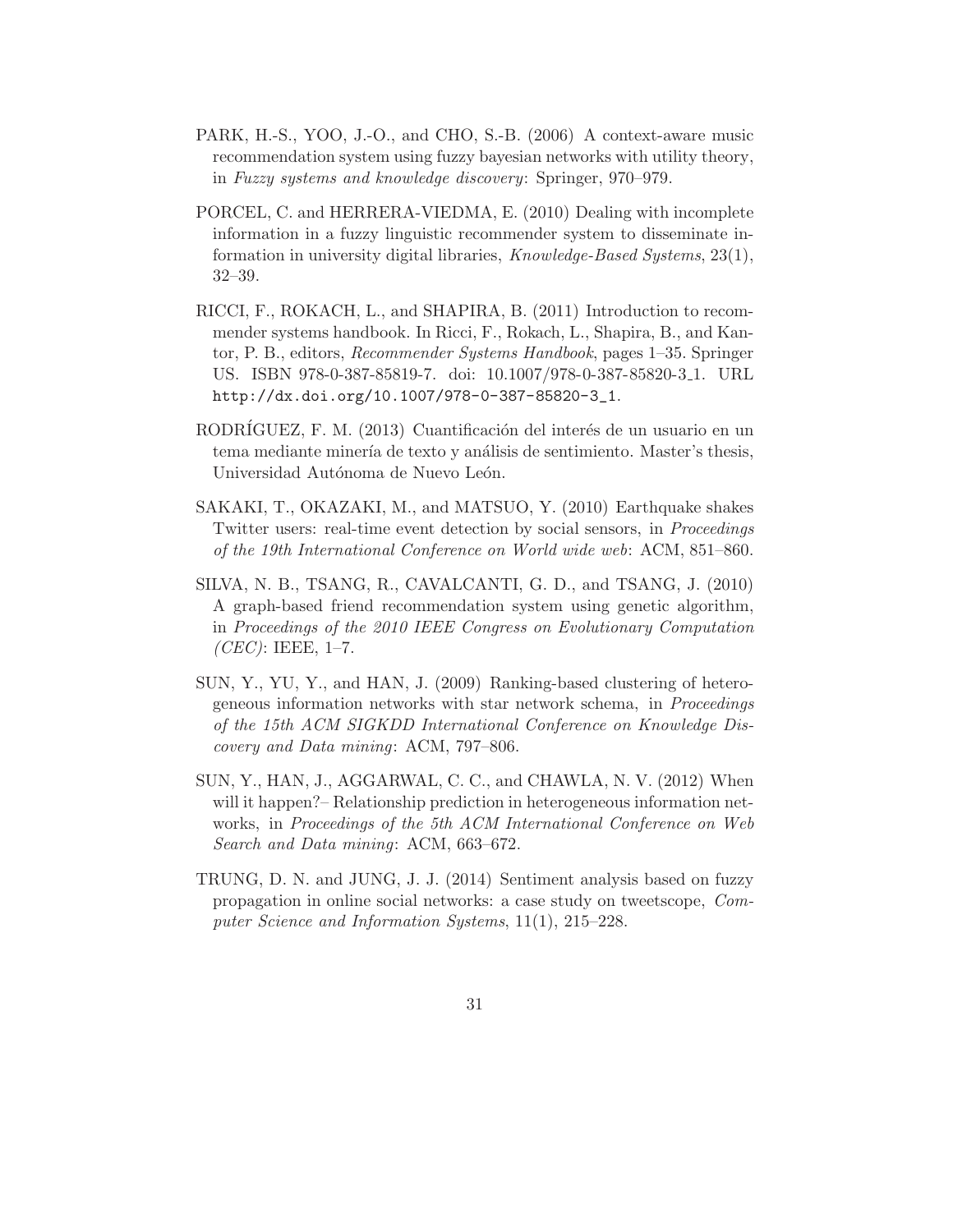- PARK, H.-S., YOO, J.-O., and CHO, S.-B. (2006) A context-aware music recommendation system using fuzzy bayesian networks with utility theory, in Fuzzy systems and knowledge discovery: Springer, 970–979.
- PORCEL, C. and HERRERA-VIEDMA, E. (2010) Dealing with incomplete information in a fuzzy linguistic recommender system to disseminate information in university digital libraries, Knowledge-Based Systems, 23(1), 32–39.
- RICCI, F., ROKACH, L., and SHAPIRA, B. (2011) Introduction to recommender systems handbook. In Ricci, F., Rokach, L., Shapira, B., and Kantor, P. B., editors, Recommender Systems Handbook, pages 1–35. Springer US. ISBN 978-0-387-85819-7. doi: 10.1007/978-0-387-85820-3 1. URL http://dx.doi.org/10.1007/978-0-387-85820-3\_1.
- RODRÍGUEZ, F. M. (2013) Cuantificación del interés de un usuario en un tema mediante minería de texto y análisis de sentimiento. Master's thesis, Universidad Autónoma de Nuevo León.
- SAKAKI, T., OKAZAKI, M., and MATSUO, Y. (2010) Earthquake shakes Twitter users: real-time event detection by social sensors, in Proceedings of the 19th International Conference on World wide web: ACM, 851–860.
- SILVA, N. B., TSANG, R., CAVALCANTI, G. D., and TSANG, J. (2010) A graph-based friend recommendation system using genetic algorithm, in Proceedings of the 2010 IEEE Congress on Evolutionary Computation  $(CEC)$ : IEEE, 1–7.
- SUN, Y., YU, Y., and HAN, J. (2009) Ranking-based clustering of heterogeneous information networks with star network schema, in Proceedings of the 15th ACM SIGKDD International Conference on Knowledge Discovery and Data mining: ACM, 797–806.
- SUN, Y., HAN, J., AGGARWAL, C. C., and CHAWLA, N. V. (2012) When will it happen?– Relationship prediction in heterogeneous information networks, in Proceedings of the 5th ACM International Conference on Web Search and Data mining: ACM, 663–672.
- TRUNG, D. N. and JUNG, J. J. (2014) Sentiment analysis based on fuzzy propagation in online social networks: a case study on tweetscope, Computer Science and Information Systems, 11(1), 215–228.